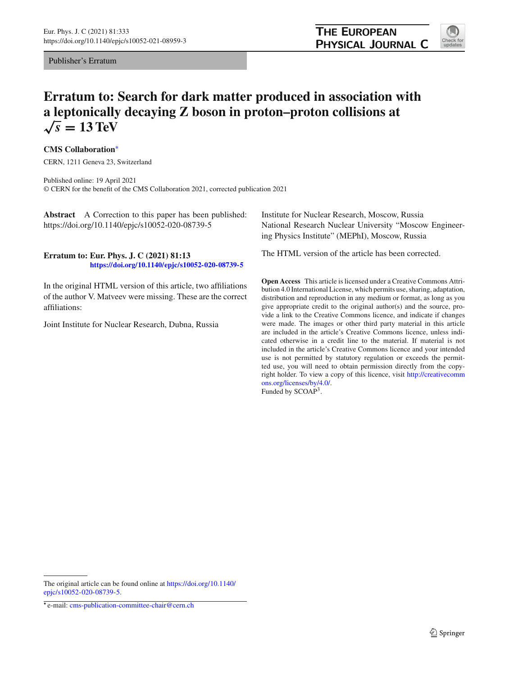Publisher's Erratum



# **Erratum to: Search for dark matter produced in association with a leptonically decaying Z boson in proton–proton collisions at**  $\sqrt{s} = 13 \text{ TeV}$

**CMS Collaboration**[∗](#page-0-0)

CERN, 1211 Geneva 23, Switzerland

Published online: 19 April 2021 © CERN for the benefit of the CMS Collaboration 2021, corrected publication 2021

**Abstract** A Correction to this paper has been published: https://doi.org/10.1140/epjc/s10052-020-08739-5

#### **Erratum to: Eur. Phys. J. C (2021) 81:13 <https://doi.org/10.1140/epjc/s10052-020-08739-5>**

In the original HTML version of this article, two affiliations of the author V. Matveev were missing. These are the correct affiliations:

Joint Institute for Nuclear Research, Dubna, Russia

Institute for Nuclear Research, Moscow, Russia National Research Nuclear University "Moscow Engineering Physics Institute" (MEPhI), Moscow, Russia

The HTML version of the article has been corrected.

**Open Access** This article is licensed under a Creative Commons Attribution 4.0 International License, which permits use, sharing, adaptation, distribution and reproduction in any medium or format, as long as you give appropriate credit to the original author(s) and the source, provide a link to the Creative Commons licence, and indicate if changes were made. The images or other third party material in this article are included in the article's Creative Commons licence, unless indicated otherwise in a credit line to the material. If material is not included in the article's Creative Commons licence and your intended use is not permitted by statutory regulation or exceeds the permitted use, you will need to obtain permission directly from the copyright holder. To view a copy of this licence, visit [http://creativecomm](http://creativecommons.org/licenses/by/4.0/) [ons.org/licenses/by/4.0/.](http://creativecommons.org/licenses/by/4.0/) Funded by SCOAP3.

The original article can be found online at [https://doi.org/10.1140/](https://doi.org/10.1140/epjc/s10052-020-08739-5) [epjc/s10052-020-08739-5.](https://doi.org/10.1140/epjc/s10052-020-08739-5)

<span id="page-0-0"></span><sup>-</sup> e-mail: <cms-publication-committee-chair@cern.ch>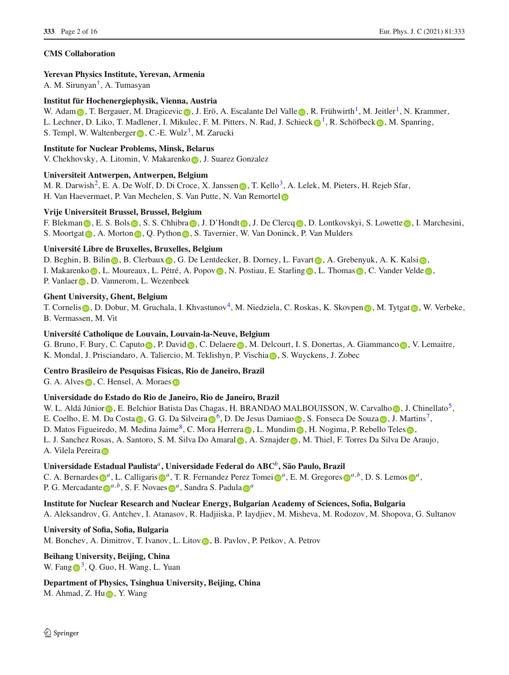# **CMS Collaboration**

# **Yerevan Physics Institute, Yerevan, Armenia**

A. M. Sirunyan†, A. Tumasyan

# **Institut für Hochenergiephysik, Vienna, Austria**

W. Adam **D**[,](http://orcid.org/0000-0002-9702-6359) T. Bergauer, M. Dragicevic **D**, J. Erö, A. Escalante Del Valle **D**, R. Frühwirth<sup>1</sup>, M. Jeitler<sup>1</sup>, N. Krammer, L. Lechner[,](http://orcid.org/0000-0002-2332-8784) D. Liko, T. Madlener, I. Mikulec, F. M. Pitters, N. Rad, J. Schieck  $\mathbf{D}^1$ , R. Schöfbeck  $\mathbf{D}$ , M. Spanring, S. Templ[,](http://orcid.org/0000-0002-6215-7228) W. Waltenberger  $\bigcirc$ , C.-E. Wulz<sup>1</sup>, M. Zarucki

# **Institute for Nuclear Problems, Minsk, Belarus**

V. Chekhovsky[,](http://orcid.org/0000-0002-8406-8605) A. Litomin, V. Makarenko **D**. J. Suarez Gonzalez

# **Universiteit Antwerpen, Antwerpen, Belgium**

M. R. Darwish<sup>2</sup>[,](http://orcid.org/0000-0002-3998-4081) E. A. De Wolf, D. Di Croce, X. Janssen **D**, T. Kello<sup>3</sup>, A. Lelek, M. Pieters, H. Rejeb Sfar, H. Van Haevermaet, P. Van Mechelen, S. Van Putte, N. Van Remorte[l](http://orcid.org/0000-0003-4180-8199)

# **Vrije Universiteit Brussel, Brussel, Belgium**

F. Bl[e](http://orcid.org/0000-0003-3984-9987)kman **(p**[,](http://orcid.org/0000-0002-1643-1388) E. S. Bols **p**, S. S. Chhibra **p**, J. D'Hond[t](http://orcid.org/0000-0002-9598-6241) **p**, J. De Clerc[q](http://orcid.org/0000-0001-6770-3040) **p**, D. Lontkovskyi, S. Lowette **p**, I. Marchesini, S. Moortgat **(b)**[,](http://orcid.org/0000-0001-9397-1057) A. Morton **(b)**, Q. Python **(b)**, S. Tavernier, W. Van Doninck, P. Van Mulders

# **Université Libre de Bruxelles, Bruxelles, Belgium**

D. Beghin[,](http://orcid.org/0000-0002-6215-0894) B. Bilin  $\circledcirc$ , B. Clerbaux  $\circledcirc$ , G. De Lentdecker, B. Dorney, L. Favart  $\circledcirc$ , A. Grebenyuk, A. K. Kalsi  $\circledcirc$ , I. Makar[e](http://orcid.org/0000-0003-3392-7294)nko **(b**[,](http://orcid.org/0000-0002-2756-3853) L. Moureaux, L. Pétré, A. Popov **(b**, N. Postiau, E. Starling **[b**, L. Thomas **[b**, C. Vander Velde **[b**, P. Vanlaer **D**[,](http://orcid.org/0000-0002-7931-4496) D. Vannerom, L. Wezenbeek

# **Ghent University, Ghent, Belgium**

T. Cor[n](http://orcid.org/0000-0002-1160-0621)elis **D**[,](http://orcid.org/0000-0002-3990-2074) D. Dobur, M. Gruchala, I. Khvastunov<sup>4</sup>, M. Niedziela, C. Roskas, K. Skovpen **D**, M. Tytgat **D**, W. Verbeke, B. Vermassen, M. Vit

# **Université Catholique de Louvain, Louvain-la-Neuve, Belgium**

G. Bruno[,](http://orcid.org/0000-0001-9640-8294) F. Bury, C. Caputo **(b)**, P. David **(b)**, C. Delaere **(b)**, M. Delcourt, I. S. Donertas, A. Giammanco **(b)**, V. Lemaitre, K. Mond[a](http://orcid.org/0000-0002-7088-8557)l, J. Prisciandaro, A. Taliercio, M. Teklishyn, P. Vischia , S. Wuyckens, J. Zobec

# **Centro Brasileiro de Pesquisas Fisicas, Rio de Janeiro, Brazil**

G. A. Alve[s](http://orcid.org/0000-0002-8369-1446)  $\bigcirc$ , C. Hensel, A. Moraes  $\bigcirc$ 

# **Universidade do Estado do Rio de Janeiro, Rio de Janeiro, Brazil**

W. L. Aldá Júnio[r](http://orcid.org/0000-0001-5855-9817)  $\odot$ [,](http://orcid.org/0000-0003-0738-6615) E. Belchior Batista Das Chagas, H. BRANDAO MALBOUISSON, W. Carvalho  $\odot$ , J. Chinellato<sup>5</sup>, E. Coelho[,](http://orcid.org/0000-0002-3769-1680) E. M. D[a](http://orcid.org/0000-0001-7830-0837) Costa , G. G. Da Silveira  $\bullet$ <sup>6</sup>, D. De Jesus Damiao  $\bullet$ , S. Fonseca De Souza  $\bullet$ , J. Martins<sup>7</sup>, D. Matos Figueiredo[,](http://orcid.org/0000-0001-9029-8506) M. Medina Jaime<sup>8</sup>, C. Mora Herrera **p**, L. Mundim **p**, H. Nogima, P. Rebello Teles **p**, L. J. Sanchez Rosas[,](http://orcid.org/0000-0001-6998-1108) A. Santoro, S. M. Silva Do Amaral (a), A. Sznajder (a), M. Thiel, F. Torres Da Silva De Araujo, A. Vilela Pereira<sub>®</sub>

# **Universidade Estadual Paulista***a***, Universidade Federal do ABC***b***, São Paulo, Brazil**

C. A. Bern[a](http://orcid.org/0000-0003-1982-8978)rdes  $\mathbf{a}^a$ , L. Calligaris  $\mathbf{a}^a$ , T. R. Fernandez Perez Tomei  $\mathbf{a}^a$ , E. M. Gregores  $\mathbf{a}^{a,b}$ , D. S. Lemos  $\mathbf{a}^a$ , P. G. Merc[a](http://orcid.org/0000-0003-3071-0559)dante  $\mathbf{D}^{a,b}$ , S. F. Novaes  $\mathbf{D}^{a}$ , Sandra S. Padula  $\mathbf{D}^{a}$ 

# **Institute for Nuclear Research and Nuclear Energy, Bulgarian Academy of Sciences, Sofia, Bulgaria**

A. Aleksandrov, G. Antchev, I. Atanasov, R. Hadjiiska, P. Iaydjiev, M. Misheva, M. Rodozov, M. Shopova, G. Sultanov

**University of Sofia, Sofia, Bulgaria** M. Bonchev[,](http://orcid.org/0000-0002-8511-6883) A. Dimitrov, T. Ivanov, L. Litov **D**, B. Pavlov, P. Petkov, A. Petrov

**Beihang University, Beijing, China** W. Fan[g](http://orcid.org/0000-0002-5247-3833)  $\bigcirc^3$ , Q. Guo, H. Wang, L. Yuan

# **Department of Physics, Tsinghua University, Beijing, China**

M. Ahmad[,](http://orcid.org/0000-0001-8209-4343) Z. Hu $\bigcirc$ , Y. Wang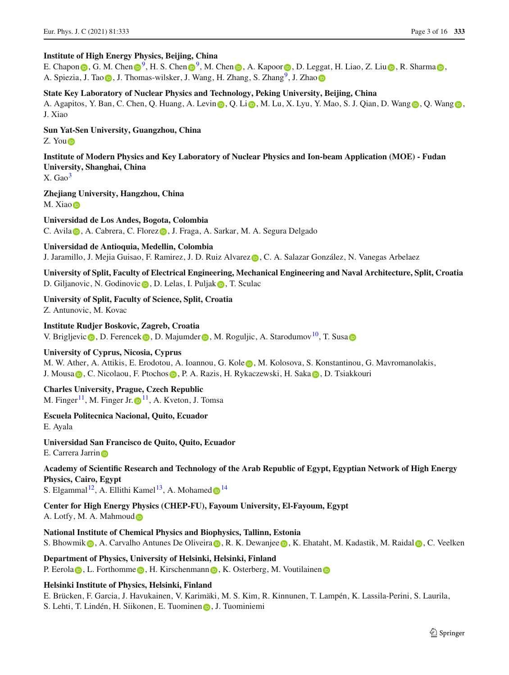#### **Institute of High Energy Physics, Beijing, China**

E. Chapon **O**[,](http://orcid.org/0000-0003-1181-1426) G. M. Chen  $\bigcirc^9$ , H. S. Chen  $\bigcirc^9$ , M. Chen  $\bigcirc$ , A. Kapoor  $\bigcirc$ , D. Leggat, H. Liao, Z. Liu  $\bigcirc$ , R. Sharma  $\bigcirc$ , A. Spiezia[,](http://orcid.org/0000-0003-2006-3490) J. Tao  $\circledcirc$ , J. Thomas-wilsker, J. Wang, H. Zhang, S. Zhang<sup>9</sup>, J. Zhao  $\circledcirc$ 

### **State Key Laboratory of Nuclear Physics and Technology, Peking University, Beijing, China**

A. Agapitos, Y. Ba[n](http://orcid.org/0000-0001-9565-4186), C. Chen, Q. Huang, A. Lev[i](http://orcid.org/0000-0002-8290-0517)n **(b**[,](http://orcid.org/0000-0002-9013-1199) Q. Li **b**, M. Lu, X. Lyu, Y. Mao, S. J. Qian, D. Wan[g](http://orcid.org/0000-0003-1014-8677) **(b**, Q. Wang **b**), J. Xiao

**Sun Yat-Sen University, Guangzhou, China** Z. Yo[u](http://orcid.org/0000-0001-8324-3291) **D** 

**Institute of Modern Physics and Key Laboratory of Nuclear Physics and Ion-beam Application (MOE) - Fudan University, Shanghai, China**  $X.$  Gao $<sup>3</sup>$  $<sup>3</sup>$  $<sup>3</sup>$ </sup>

**Zhejiang University, Hangzhou, China** M. Xia[o](http://orcid.org/0000-0001-9628-9336) D

**Universidad de Los Andes, Bogota, Colombia** C. Avila **D**[,](http://orcid.org/0000-0002-3222-0249) A. Cabrera, C. Florez **D**, J. Fraga, A. Sarkar, M. A. Segura Delgado

**Universidad de Antioquia, Medellin, Colombia**

J. Jaramillo, J. Mejia Guisao, F. Ramire[z](http://orcid.org/0000-0002-3306-0363), J. D. Ruiz Alvarez D. C. A. Salazar González, N. Vanegas Arbelaez

**University of Split, Faculty of Electrical Engineering, Mechanical Engineering and Naval Architecture, Split, Croatia** D. Giljanovic[,](http://orcid.org/0000-0001-7387-3812) N. Godinovic **D**, D. Lelas, I. Puljak **D**, T. Sculac

**University of Split, Faculty of Science, Split, Croatia**

Z. Antunovic, M. Kovac

**Institute Rudjer Boskovic, Zagreb, Croatia** V. Briglievic **D**[,](http://orcid.org/0000-0002-7578-0027) D. Ferencek **D**, D. M[a](http://orcid.org/0000-0001-7430-2552)jumder **D**, M. Roguljic, A. Starodumov<sup>10</sup>, T. Susa **D** 

#### **University of Cyprus, Nicosia, Cyprus**

M. W. Ath[e](http://orcid.org/0000-0002-3285-1497)r, A. Attikis, E. Erodotou, A. Ioannou, G. Kole  $\odot$ , M. Kolosova, S. Konstantinou, G. Mavromanolakis, J. Mou[s](http://orcid.org/0000-0002-3432-3452)a **D**[,](http://orcid.org/0000-0001-7616-2573) C. Nicolaou, F. Ptochos **D**, P. A. Razis, H. Rykaczewski, H. Saka **D**, D. Tsiakkouri

**Charles University, Prague, Czech Republic** M. Finger<sup>11</sup>, M. Finger Jr.  $\bigcirc$ <sup>11</sup>, A. Kveton, J. Tomsa

**Escuela Politecnica Nacional, Quito, Ecuador**

E. Ayala

**Universidad San Francisco de Quito, Quito, Ecuador** E. Carrera Jarri[n](http://orcid.org/0000-0002-0857-8507)<sub>D</sub>

**Academy of Scientific Research and Technology of the Arab Republic of Egypt, Egyptian Network of High Energy Physics, Cairo, Egypt**

S. Elgammal<sup>12</sup>, A. Ellithi Kamel<sup>13</sup>, A. Mohame[d](http://orcid.org/0000-0003-4892-4221)  $\bullet$ <sup>[14](#page-14-5)</sup>

**Center for High Energy Physics (CHEP-FU), Fayoum University, El-Fayoum, Egypt**

A. Lotfy, M. A. Mahmoud

**National Institute of Chemical Physics and Biophysics, Tallinn, Estonia**

S. Bhowmik **(b**[,](http://orcid.org/0000-0001-7040-9491) A. Carvalho Antunes De Oliveira **(b**), R. K. Dewanjee **(b**), K. Ehataht, M. Kadastik, M. Raidal **(b**), C. Veelken

#### **Department of Physics, University of Helsinki, Helsinki, Finland**

P. Eerol[a](http://orcid.org/0000-0002-3244-0591)  $\bullet$  $\bullet$  $\bullet$ [,](http://orcid.org/0000-0001-7369-2536) L. Forthomme  $\bullet$ , H. Kirschenmann  $\bullet$ , K. Osterberg, M. Voutilainen  $\bullet$ 

# **Helsinki Institute of Physics, Helsinki, Finland**

E. Brücken, F. Garcia, J. Havukainen, V. Karimäki, M. S. Kim, R. Kinnunen, T. Lampén, K. Lassila-Perini, S. Laurila,

S. Lehti[,](http://orcid.org/0000-0002-7073-7767) T. Lindén, H. Siikonen, E. Tuominen D. J. Tuominiemi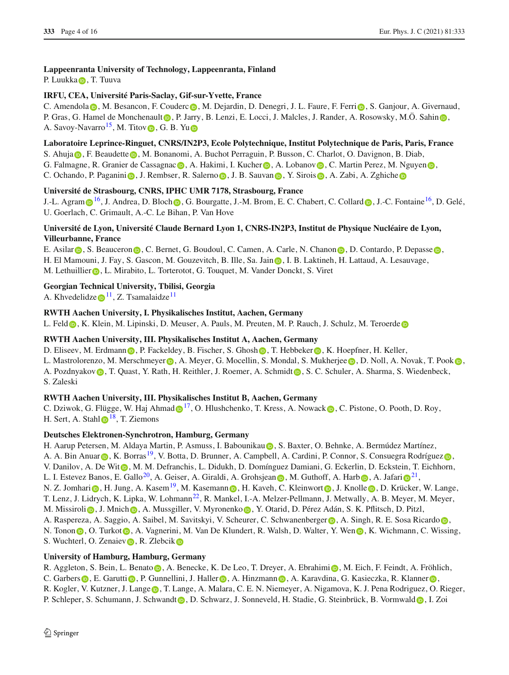# **Lappeenranta University of Technology, Lappeenranta, Finland**

P. Luukka **D**[,](http://orcid.org/0000-0003-2340-4641) T. Tuuva

# **IRFU, CEA, Université Paris-Saclay, Gif-sur-Yvette, France**

C. Amendola [,](http://orcid.org/0000-0003-2040-4099) M. Besancon, F. Couderc , M. Dejard[i](http://orcid.org/0000-0002-9860-101X)n, D. Denegri, J. L. Faure, F. Ferri , S. Ganjour, A. Givernaud, P. Gras, G. Hamel de Monchenaul[t](http://orcid.org/0000-0002-3872-3592) **D**[,](http://orcid.org/0000-0001-6402-4050) P. Jarry, B. Lenzi, E. Locci, J. Malcles, J. Rander, A. Rosowsky, M.Ö. Sahin **D**, A. Savoy-Navarro<sup>15</sup>[,](http://orcid.org/0000-0002-1119-6614) M. Titov **D**, G. B. Yu

# **Laboratoire Leprince-Ringuet, CNRS/IN2P3, Ecole Polytechnique, Institut Polytechnique de Paris, Paris, France**

S. Ahuja [,](http://orcid.org/0000-0002-1194-8556) F. Beaudette , M. Bonanomi, A. Buchot Perraguin, P. Busson, C. Charlot, O. Davignon, B. Diab, G. Falmagne, R. Granier de Cassagna[c](http://orcid.org/0000-0002-1275-7292) **(b)**[,](http://orcid.org/0000-0002-5376-0877) A. Hakimi, I. Kucher **(b)**, A. Loba[n](http://orcid.org/0000-0001-7305-7102)ov **(b)**, C. Martin Perez, M. Nguyen **(b)**, C. Ochando[,](http://orcid.org/0000-0001-5381-4807) P. Paganini **(b**, J. Rembser, R. Salern[o](http://orcid.org/0000-0003-3735-2707) **(b**, J. B. Sauvan **[b**, Y. Sirois **[b**, A. Zabi, A. Zghich[e](http://orcid.org/0000-0002-1178-1450) **[b** 

# **Université de Strasbourg, CNRS, IPHC UMR 7178, Strasbourg, France**

J.-L. Agra[m](http://orcid.org/0000-0001-7476-0158)  $\mathbb{D}^{16}$ [,](http://orcid.org/0000-0002-5230-8387) J. Andrea, D. Bloch  $\mathbb{D}$ , G. Bourgatte, J.-M. Brom, E. C. Chabert, C. Collard  $\mathbb{D}$ , J.-C. Fontaine  $^{16}$ , D. Gelé, U. Goerlach, C. Grimault, A.-C. Le Bihan, P. Van Hove

# **Université de Lyon, Université Claude Bernard Lyon 1, CNRS-IN2P3, Institut de Physique Nucléaire de Lyon, Villeurbanne, France**

E. Asila[r](http://orcid.org/0000-0001-5680-599X) **D**[,](http://orcid.org/0000-0001-7556-2743) S. Beauceron **D**, C. Bernet, G. Boudoul, C. Camen, A. Carle, N. Chanon **D**, D. Contardo, P. Depasse **D**, H. El Mamouni[,](http://orcid.org/0000-0001-5078-3689) J. Fay, S. Gascon, M. Gouzevitch, B. Ille, Sa. Jain , J. B. Laktineh, H. Lattaud, A. Lesauvage, M. Lethuillier **D**[,](http://orcid.org/0000-0001-6185-2045) L. Mirabito, L. Torterotot, G. Touquet, M. Vander Donckt, S. Viret

# **Georgian Technical University, Tbilisi, Georgia**

A. Khv[e](http://orcid.org/0000-0002-5953-0140)delidze  $\mathbb{D}^{11}$ , Z. Tsamalaidze<sup>11</sup>

# **RWTH Aachen University, I. Physikalisches Institut, Aachen, Germany**

L. Feld **D**[,](http://orcid.org/0000-0001-9813-8646) K. Klein, M. Lipinski, D. Meuser, A. Pauls, M. Preuten, M. P. Rauch, J. Schulz, M. Teroerde **D** 

# **RWTH Aachen University, III. Physikalisches Institut A, Aachen, Germany**

D. Eliseev[,](http://orcid.org/0000-0001-6717-0803) M. E[r](http://orcid.org/0000-0002-9736-266X)dmann  $\odot$ , P. Fackeldey, B. Fischer, S. Ghosh  $\odot$ , T. Hebbeker  $\odot$ , K. Hoepfner, H. Keller,

L. Mastrolorenzo[,](http://orcid.org/0000-0003-2081-7141) M. M[e](http://orcid.org/0000-0001-6341-9982)rschmeyer **D.**, A. Meyer, G. Mocellin, S. Mondal, S. Mu[k](http://orcid.org/0000-0002-9635-5126)herjee **D.**, D. Noll, A. Novak, T. Pook **D**. A. Pozdnyakov **(b**[,](http://orcid.org/0000-0003-2711-8984) T. Quast, Y. Rath, H. Reithler, J. Roemer, A. Schmidt **(b**, S. C. Schuler, A. Sharma, S. Wiedenbeck, S. Zaleski

# **RWTH Aachen University, III. Physikalisches Institut B, Aachen, Germany**

C. Dziwok[,](http://orcid.org/0000-0002-3522-5926) G. Flügge, W. Haj Ahmad  $\bigcirc$  [17,](#page-14-8) O. Hlushchenko, T. Kress, A. Nowack  $\bigcirc$ , C. Pistone, O. Pooth, D. Roy, H. Sert, A. Stah[l](http://orcid.org/0000-0002-8369-7506) $\bigcirc$ <sup>18</sup>, T. Ziemons

# **Deutsches Elektronen-Synchrotron, Hamburg, Germany**

H. Aar[u](http://orcid.org/0000-0002-6228-4104)p Petersen, M. Aldaya Martin, P. Asmuss, I. Babounikau (D., S. Baxter, O. Behnke, A. Bermúdez Martínez, A. A. Bin Anuar **D**[,](http://orcid.org/0000-0002-1383-1837) K. Borras<sup>19</sup>, V. Botta, D. Brunner, A. Campbell, A. Cardini, P. Connor, S. Consuegra Rodríguez **D**, V. Danilov[,](http://orcid.org/0000-0002-5291-1661) A. De Wit , M. M. Defranchis, L. Didukh, D. Domínguez Damiani, G. Eckerlin, D. Eckstein, T. Eichhorn, L. I. Estevez Ba[n](http://orcid.org/0000-0003-0748-8494)os, E. Gallo<sup>20</sup>, A. Geiser, A. Giraldi, A. Grohsjean **p**, M. Guthoff, A. Har[b](http://orcid.org/0000-0001-5750-3889) **p**, A. Jafari  $\mathbb{P}^{21}$ , N. Z. Jomhar[i](http://orcid.org/0000-0001-9127-7408) **D**[,](http://orcid.org/0000-0002-4781-5704) H. Jung, A. Kasem<sup>19</sup>, M. Kasemann **D**, H. Kaveh, C. Kleinwor[t](http://orcid.org/0000-0002-9017-9504) **D**, J. Knolle **D**, D. Krücker, W. Lange, T. Lenz, J. Lidrych, K. Lipka, W. Lohmann<sup>22</sup>, R. Mankel, I.-A. Melzer-Pellmann, J. Metwally, A. B. Meyer, M. Meyer, M. Missiroli **(b**[,](http://orcid.org/0000-0002-3984-4732) J. Mnich **(b**, A. Mussgiller, V. Myronenko **b**, Y. Otarid, D. Pérez Adán, S. K. Pflitsch, D. Pitzl, A. Raspereza[,](http://orcid.org/0000-0002-2240-6699) A. Saggio, A. Saibel, M. Savitskyi, V. Scheurer, C. Schwanenberger (D, A. Singh, R. E. Sosa Ricardo (D, N. To[n](http://orcid.org/0000-0003-4301-2688)on **D**[,](http://orcid.org/0000-0002-8724-9604) O. Turkot **D**, A. Vagnerini, M. Van De Klundert, R. Walsh, D. Walter, Y. Wen **D**, K. Wichmann, C. Wissing, S. Wuchterl[,](http://orcid.org/0000-0003-3783-6330) O. Zenaiev  $\mathbf{D}$ , R. Zlebci[k](http://orcid.org/0000-0003-1644-8523)  $\mathbf{D}$ 

# **University of Hamburg, Hamburg, Germany**

R. Agglet[o](http://orcid.org/0000-0001-5135-7489)n, S. Be[i](http://orcid.org/0000-0003-4472-867X)n, L. Benato **D**, A. Benecke, K. De Leo, T. Dreyer, A. Ebrahimi **D**, M. Eich, F. Feindt, A. Fröhlich, C. Garbers **(p**[,](http://orcid.org/0000-0002-7004-9227) E. Garutti **p**, P. Gunnellini, J. Haller **(p**, A. Hinzmann **p**, A. Karavdina, G. Kasieczka, R. Klanner **p**, R. Kogl[e](http://orcid.org/0000-0001-7513-6330)r, V. Kutzner, J. Lange **(b)**, T. Lange, A. Malara, C. E. N. Niemeyer, A. Nigamova, K. J. Pena Rodriguez, O. Rieger, P. Schleper[,](http://orcid.org/0000-0002-0052-597X) S. Schumann, J. Schwan[d](http://orcid.org/0000-0003-2607-7287)t **(D)**, D. Schwarz, J. Sonneveld, H. Stadie, G. Steinbrück, B. Vormwald **(D)**, I. Zoi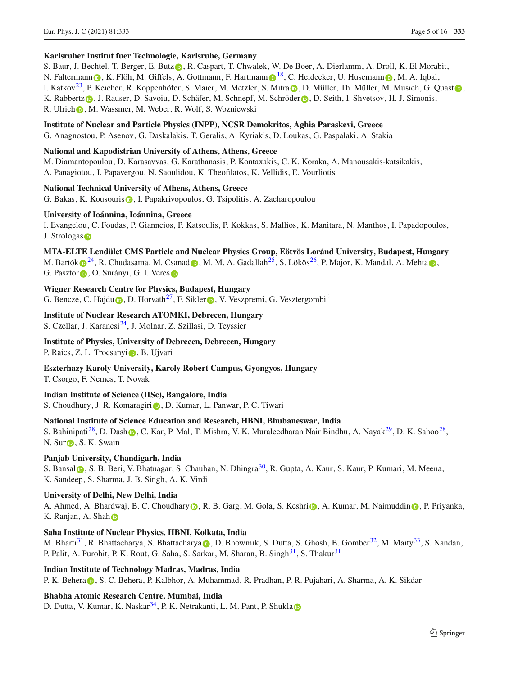#### **Karlsruher Institut fuer Technologie, Karlsruhe, Germany**

S. Baur[,](http://orcid.org/0000-0002-2403-5801) J. Bechtel, T. Berger, E. Butz **D**. R. Caspart, T. Chwalek, W. De Boer, A. Dierlamm, A. Droll, K. El Morabit, N. Falterma[n](http://orcid.org/0000-0001-6506-3107)n **D**[,](http://orcid.org/0000-0002-6198-8388) K. Flöh, M. Giffels, A. Gottmann, F. Hartmann **D**<sup>18</sup>, C. Heidecker, U. Husemann **D**, M. A. Iqbal, I. Katkov<sup>23</sup>[,](http://orcid.org/0000-0002-3060-2278) P. Keicher, R. Koppenhöfer, S. Maier, M. Me[t](http://orcid.org/0000-0002-4021-4260)zler, S. Mitra , D. Müller, Th. Müller, M. Musich, G. Ouast **D.** K. Rabbe[r](http://orcid.org/0000-0001-8058-9828)tz **D**[,](http://orcid.org/0000-0001-7040-9846) J. Rauser, D. Savoiu, D. Schäfer, M. Schnepf, M. Schröder **D**, D. Seith, I. Shvetsov, H. J. Simonis, R. Ulrich **D**[,](http://orcid.org/0000-0002-2535-402X) M. Wassmer, M. Weber, R. Wolf, S. Wozniewski

## **Institute of Nuclear and Particle Physics (INPP), NCSR Demokritos, Aghia Paraskevi, Greece**

G. Anagnostou, P. Asenov, G. Daskalakis, T. Geralis, A. Kyriakis, D. Loukas, G. Paspalaki, A. Stakia

#### **National and Kapodistrian University of Athens, Athens, Greece**

M. Diamantopoulou, D. Karasavvas, G. Karathanasis, P. Kontaxakis, C. K. Koraka, A. Manousakis-katsikakis, A. Panagiotou, I. Papavergou, N. Saoulidou, K. Theofilatos, K. Vellidis, E. Vourliotis

#### **National Technical University of Athens, Athens, Greece**

G. Bakas[,](http://orcid.org/0000-0002-6360-0869) K. Kousouris  $\odot$ , I. Papakrivopoulos, G. Tsipolitis, A. Zacharopoulou

#### **University of Ioánnina, Ioánnina, Greece**

I. Evangelou, C. Foudas, P. Gianneios, P. Katsoulis, P. Kokkas, S. Mallios, K. Manitara, N. Manthos, I. Papadopoulos, J. Strologa[s](http://orcid.org/0000-0002-2225-7160) D

#### **MTA-ELTE Lendület CMS Particle and Nuclear Physics Group, Eötvös Loránd University, Budapest, Hungary**

M. Bartók  $\mathbf{D}^{24}$ , R. Chu[d](http://orcid.org/0000-0002-3154-6925)asama[,](http://orcid.org/0000-0002-0433-4484) M. Csanad  $\mathbf{D}$ , M. M. A. Gadallah<sup>25</sup>, S. Lökös<sup>26</sup>, P. Major, K. Mandal, A. Mehta  $\mathbf{D}$ , G. Paszto[r](http://orcid.org/0000-0003-0707-9762) **D**, O. Surányi, G. I. Veres **D** 

**Wigner Research Centre for Physics, Budapest, Hungary**

G. Bencze[,](http://orcid.org/0000-0001-9608-3901) C. Hajdu $\odot$ , D. Horvath<sup>27</sup>, F. Sikler $\odot$ , V. Veszpremi, G. Vesztergombi<sup>†</sup>

#### **Institute of Nuclear Research ATOMKI, Debrecen, Hungary**

S. Czellar, J. Karancsi<sup>24</sup>, J. Molnar, Z. Szillasi, D. Teyssier

# **Institute of Physics, University of Debrecen, Debrecen, Hungary**

P. Raics[,](http://orcid.org/0000-0002-2129-1279) Z. L. Trocsanyi **D**, B. Ujvari

#### **Eszterhazy Karoly University, Karoly Robert Campus, Gyongyos, Hungary**

T. Csorgo, F. Nemes, T. Novak

#### **Indian Institute of Science (IISc), Bangalore, India**

S. Choudhury[,](http://orcid.org/0000-0002-9344-6655) J. R. Komaragiri **D**, D. Kumar, L. Panwar, P. C. Tiwari

### **National Institute of Science Education and Research, HBNI, Bhubaneswar, India**

S. Ba[h](http://orcid.org/0000-0001-9685-0226)inipati<sup>28</sup>, D. Dash **D.** C. Kar, P. Mal, T. Mishra, V. K. Muraleedharan Nair Bindhu, A. Nayak<sup>29</sup>, D. K. Sahoo<sup>28</sup>, N. Sur [,](http://orcid.org/0000-0001-5233-553X) S. K. Swain

#### **Panjab University, Chandigarh, India**

S. Bansal **D**[,](http://orcid.org/0000-0003-1992-0336) S. B. Beri, V. Bhatnagar, S. Chauhan, N. Dhingra<sup>30</sup>, R. Gupta, A. Kaur, S. Kaur, P. Kumari, M. Meena, K. Sandeep, S. Sharma, J. B. Singh, A. K. Virdi

#### **University of Delhi, New Delhi, India**

A. Ahmed[,](http://orcid.org/0000-0003-4542-386X) A. Bhardwaj, B. C. Choudhary **D.**, R. B. Garg, M. Gola, S. Keshr[i](http://orcid.org/0000-0003-3280-2350) **D.**, A. Kumar, M. Naimuddin **D.**, P. Priyanka, K. Ranjan, A. Sha[h](http://orcid.org/0000-0002-6157-2016)

# **Saha Institute of Nuclear Physics, HBNI, Kolkata, India**

M. Bharti<sup>31</sup>[,](http://orcid.org/0000-0002-8110-4957) R. Bhattacharya, S. Bhattacharya **(p**, D. Bhowmik, S. Dutta, S. Ghosh, B. Gomber<sup>32</sup>, M. Maity<sup>33</sup>, S. Nandan, P. Palit, A. Purohit, P. K. Rout, G. Saha, S. Sarkar, M. Sharan, B. Singh<sup>31</sup>, S. Thakur<sup>31</sup>

#### **Indian Institute of Technology Madras, Madras, India**

P. K. Behera **(b**[,](http://orcid.org/0000-0002-1527-2266) S. C. Behera, P. Kalbhor, A. Muhammad, R. Pradhan, P. R. Pujahari, A. Sharma, A. K. Sikdar

### **Bhabha Atomic Research Centre, Mumbai, India**

D. Dutta, V. Kumar, K. Naskar<sup>34</sup>, P. K. Netrakanti, L. M. Pant, P. Shukla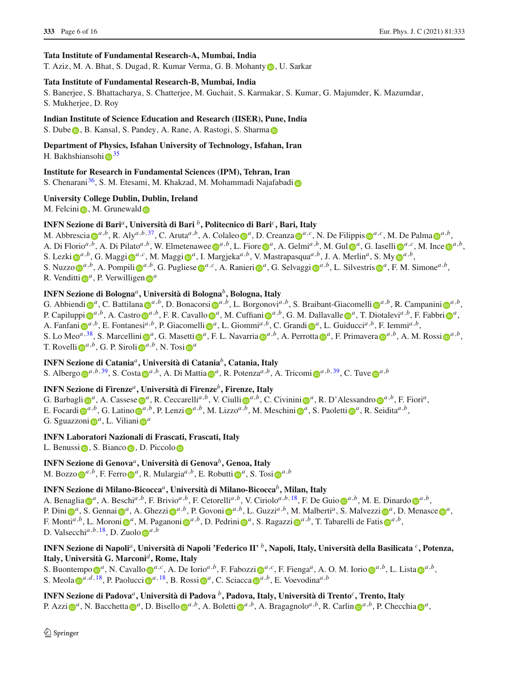# **Tata Institute of Fundamental Research-A, Mumbai, India**

T. Aziz, M. A. Bhat, S. Dugad, R. Kumar Verma, G. B. Mohant[y](http://orcid.org/0000-0001-6850-7666) **D**, U. Sarkar

## **Tata Institute of Fundamental Research-B, Mumbai, India**

S. Banerjee, S. Bhattacharya, S. Chatterjee, M. Guchait, S. Karmakar, S. Kumar, G. Majumder, K. Mazumdar,

S. Mukherjee, D. Roy

# **Indian Institute of Science Education and Research (IISER), Pune, India**

S. Dube  $\Box$ [,](http://orcid.org/0000-0002-5145-3777) B. Kansal, S. Pandey, A. Rane, A. Rastogi, S. Sharma  $\Box$ 

# **Department of Physics, Isfahan University of Technology, Isfahan, Iran**

H. Bakhshiansohi $\frac{35}{2}$  $\frac{35}{2}$  $\frac{35}{2}$ 

# **Institute for Research in Fundamental Sciences (IPM), Tehran, Iran**

S. Chenarani<sup>36</sup>, S. M. Etesami, M. Khakzad, M. Mohammadi Najafabadi D

# **University College Dublin, Dublin, Ireland**

M. Felcini  $\blacksquare$ [,](http://orcid.org/0000-0002-2051-9331) M. Grunewald  $\blacksquare$ 

# **INFN Sezione di Bari***a***, Università di Bari** *<sup>b</sup>***, Politecnico di Bari***c***, Bari, Italy**

M. Abbresci[a](http://orcid.org/0000-0001-8240-1913)  $\mathbf{p}^{a,b}$ , R. Aly<sup>*a*,*b*,37</sup>, C. Aruta<sup>*a*,*b*</sup>, A. Colaleo  $\mathbf{p}^a$ , D. Creanza  $\mathbf{p}^{a,c}$ , N. De Filippis  $\mathbf{p}^{a,c}$ , M. De Palma  $\mathbf{p}^{a,b}$ , A. Di Florio<sup>*[a](http://orcid.org/0000-0001-6907-0195)*,*b*</sup>, A. Di Pilato<sup>*a*,*b*</sup>, W. Elmetenawee  $\mathbb{R}^{a,b}$ , L. Fiore  $\mathbb{R}^{a}$ , A. Gelmi<sup>*a*,*b*</sup>, M. Gul  $\mathbb{R}^{a}$ , G. Iaselli  $\mathbb{R}^{a,c}$ , M. Ince  $\mathbb{R}^{a,b}$ , S. Lezki  $\mathbb{D}^{a,b}$  $\mathbb{D}^{a,b}$  $\mathbb{D}^{a,b}$ , G. Maggi  $\mathbb{D}^{a,c}$ , M. Maggi  $\mathbb{D}^{a}$ , I. Margjeka<sup>*a,b*</sup>, V. Mastrapasqua<sup>*a,b*</sup>, J. A. Merlin<sup>*a*</sup>, S. My  $\mathbb{D}^{a,b}$ , S. Nuzzo  $\mathbb{D}^{a,b}$  $\mathbb{D}^{a,b}$  $\mathbb{D}^{a,b}$ , A. Pompili  $\mathbb{D}^{a,b}$ , G. Pugliese  $\mathbb{D}^{a,c}$ , A. Ranieri  $\mathbb{D}^{a}$ , G. Selvaggi  $\mathbb{D}^{a,b}$ , L. Silvestris  $\mathbb{D}^{a}$ , F. M. Simone<sup>*a,b*</sup>, R. Venditti  $\mathbf{p}^a$  $\mathbf{p}^a$  $\mathbf{p}^a$ , P. Verwilligen  $\mathbf{p}^a$ 

# **INFN Sezione di Bologna***a***, Università di Bologna***b***, Bologna, Italy**

G. Abb[i](http://orcid.org/0000-0003-2419-7971)endi  $\mathbf{D}^a$  $\mathbf{D}^a$  $\mathbf{D}^a$ , C. Battilana  $\mathbf{D}^{a,b}$ , D. Bonacorsi  $\mathbf{D}^{a,b}$ , L. Borgonovi<sup>*a*,*b*</sup>, S. Braibant-Giacomelli  $\mathbf{D}^{a,b}$ , R. Campanini  $\mathbf{D}^{a,b}$ P. C[a](http://orcid.org/0000-0002-8446-9660)piluppi  $\mathbb{D}^{a,b}$ , A. Castr[o](http://orcid.org/0000-0003-2527-0456)  $\mathbb{D}^{a,b}$ , F. R. Cavallo  $\mathbb{D}^{a}$ , M. Cuffiani  $\mathbb{D}^{a,b}$ , G. M. Dallavalle  $\mathbb{D}^{a}$ , T. Diotalevi<sup>a,*b*</sup>, F. Fabbri  $\mathbb{D}^{a}$ , A. F[a](http://orcid.org/0000-0001-5998-3070)nfani  $\mathbf{p}^{a,b}$ , E. Fontanesi<sup>*a,b*</sup>, P. Giacomelli  $\mathbf{p}^{a}$ , L. Giommi<sup>*a,b*</sup>, C. Grandi  $\mathbf{p}^{a}$ , L. Guiducci<sup>*a,b*</sup>, F. Iemmi<sup>*a,b*</sup>, S. Lo Meo<sup>[a](http://orcid.org/0000-0001-6253-8656),38</sup>, S. Marcell[i](http://orcid.org/0000-0002-5973-1305)ni  $\mathbb{D}^a$ , G. Masetti  $\mathbb{D}^a$ , F. L. Navarria  $\mathbb{D}^{a,b}$ , A. Perrotta  $\mathbb{D}^a$ , F. Primavera  $\mathbb{D}^{a,b}$ , A. M. Rossi  $\mathbb{D}^{a,b}$ , T. Rovell[i](http://orcid.org/0000-0002-9746-4842)  $\mathbf{D}^{a,b}$  $\mathbf{D}^{a,b}$  $\mathbf{D}^{a,b}$ , G. P. Siroli  $\mathbf{D}^{a,b}$ , N. Tosi  $\mathbf{D}^{a}$ 

# **INFN Sezione di Catania***a***, Università di Catania***b***, Catania, Italy**

S. Alb[e](http://orcid.org/0000-0003-0739-3153)rgo  $\mathbb{R}^{a,b,39}$  $\mathbb{R}^{a,b,39}$  $\mathbb{R}^{a,b,39}$ , S. Costa  $\mathbb{R}^{a,b}$ , A. Di Mattia  $\mathbb{R}^{a}$ , R. Potenza<sup>*a*,*b*</sup>, A. Tricomi  $\mathbb{R}^{a,b,39}$ , C. Tuve  $\mathbb{R}^{a,b}$ 

# **INFN Sezione di Firenze***a***, Università di Firenze***b***, Firenze, Italy**

G. B[a](http://orcid.org/0000-0001-7997-0306)rbagli  $\bigcirc^{a}$ , A. Cassese  $\bigcirc^{a}$ , R. Ceccarelli<sup>a,*b*</sup>, V. Ciulli  $\bigcirc^{a}$ ,  $\bigcirc^{a}$ , C. Civinini  $\bigcirc^{a}$ , R. D'Alessandro  $\bigcirc^{a}$ , F. Fiori<sup>a</sup>, E. Foc[a](http://orcid.org/0000-0003-3592-9509)rdi  $\mathbf{p}^{a,b}$ , G. Latino  $\mathbf{p}^{a,b}$ , P. Lenzi  $\mathbf{p}^{a,b}$ , M. Lizzo<sup>*a*,*b*</sup>, M. Meschini  $\mathbf{p}^{a}$ , S. Paoletti  $\mathbf{p}^{a}$ , R. Seidita<sup>*a*,*b*</sup>, G. Sguazzoni *[a](http://orcid.org/0000-0002-0791-3350)*, L. Vilian[i](http://orcid.org/0000-0002-1909-6343) *<sup>a</sup>*

# **INFN Laboratori Nazionali di Frascati, Frascati, Italy**

L. Benussi  $\mathbf{D}$ [,](http://orcid.org/0000-0002-8300-4124) S. Bianc[o](http://orcid.org/0000-0001-5404-543X)  $\mathbf{D}$ , D. Piccolo  $\mathbf{D}$ 

# **INFN Sezione di Genova***a***, Università di Genova***b***, Genoa, Italy**

M. Bozzo  $\mathbf{D}^{a,b}$  $\mathbf{D}^{a,b}$  $\mathbf{D}^{a,b}$ , F. Ferro  $\mathbf{D}^{a}$ , R. Mulargia<sup>*a*,*b*</sup>, E. Robutti  $\mathbf{D}^{a}$ , S. Tosi  $\mathbf{D}^{a,b}$ 

# **INFN Sezione di Milano-Bicocca***a***, Università di Milano-Bicocca***b***, Milan, Italy**

A. Ben[a](http://orcid.org/0000-0002-8575-7250)glia  $\mathbb{D}^a$ , A. Beschi<sup>a,*b*</sup>, F. Brivio<sup>*a*,*b*</sup>, F. Cetorelli<sup>*a*,*b*</sup>, V. Ciriolo<sup>*a*,*b*, 18</sup>, F. De Guio  $\mathbb{D}^{a,b}$ , M. E. Dinardo  $\mathbb{D}^{a,b}$ , P. Dini  $\mathbf{p}^a$  $\mathbf{p}^a$  $\mathbf{p}^a$ , S. Gennai  $\mathbf{p}^a$ , A. Ghezzi  $\mathbf{p}^{a,b}$ , P. Govoni  $\mathbf{p}^{a,b}$ , L. Guzzi<sup>*a,b*</sup>, M. Malberti<sup>*a*</sup>, S. Malvezzi  $\mathbf{p}^a$ , D. Menasce  $\mathbf{p}^a$ , F. Mont[i](http://orcid.org/0000-0003-2414-4175)<sup>*[a](http://orcid.org/0000-0001-6262-4685)*,*b*</sup>, L. Moroni  $\mathbf{D}^a$ , M. Paganoni  $\mathbf{D}^{a,b}$ , D. Pedrini  $\mathbf{D}^a$ , S. Ragazzi  $\mathbf{D}^{a,b}$ , T. Tabarelli de Fatis  $\mathbf{D}^{a,b}$ , D. V[a](http://orcid.org/0000-0003-3072-1020)lsecchi<sup>*a*,*b*, 18</sup>, D. Zuolo  $\mathbf{D}^{a,b}$ 

# **INFN Sezione di Napoli***a***, Università di Napoli 'Federico II'** *<sup>b</sup>***, Napoli, Italy, Università della Basilicata** *<sup>c</sup>***, Potenza, Italy, Università G. Marconi***<sup>d</sup>* **, Rome, Italy**

S. Buontempo  $\mathbf{D}^a$  $\mathbf{D}^a$  $\mathbf{D}^a$ , N. Cavallo  $\mathbf{D}^{a,c}$ , A. De Iorio<sup>*a,b*</sup>, F. Fabozzi  $\mathbf{D}^{a,c}$ , F. Fienga<sup>*a*</sup>, A. O. M. Iorio  $\mathbf{D}^{a,b}$ , L. Lista  $\mathbf{D}^{a,b}$ , S. Meol[a](http://orcid.org/0000-0002-8412-4072)  $\mathbb{R}^{a,d,18}$ , P. Paolucci  $\mathbb{R}^{a,18}$ , B. Rossi  $\mathbb{R}^a$ , C. Sciacca  $\mathbb{R}^{a,b}$ , E. Voevodina<sup>*a*,*b*</sup>

**INFN Sezione di Padova***a***, Università di Padova** *<sup>b</sup>***, Padova, Italy, Università di Trento***c***, Trento, Italy** P. Azzi  $\mathbf{D}^a$  $\mathbf{D}^a$  $\mathbf{D}^a$ , N. Bacchetta  $\mathbf{D}^a$ , D. Bisello  $\mathbf{D}^{a,b}$ , A. Boletti  $\mathbf{D}^{a,b}$ , A. Bragag[n](http://orcid.org/0000-0001-7915-1650)olo<sup>*a*,*b*</sup>, R. Carlin  $\mathbf{D}^{a,b}$ , P. Checchia  $\mathbf{D}^a$ ,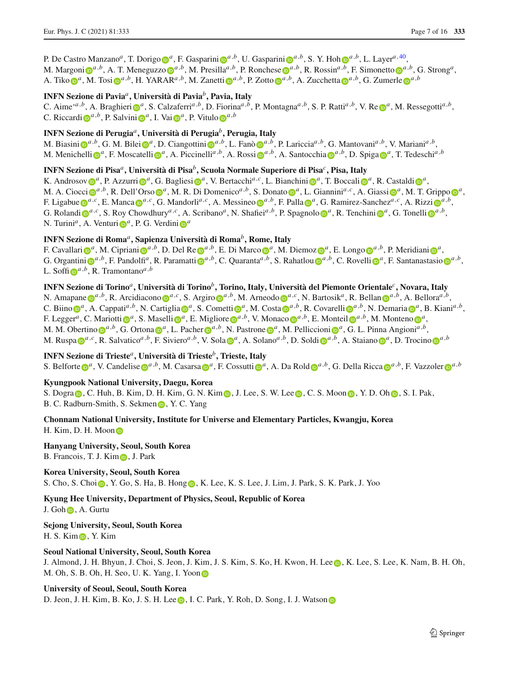P. De C[a](http://orcid.org/0000-0003-3233-5123)stro Manzano<sup>a</sup>, T. Dorigo  $\mathbb{D}^a$ , F. Gasparini  $\mathbb{D}^{a,b}$ , U. Gasparini  $\mathbb{D}^{a,b}$ , S. Y. Hoh  $\mathbb{D}^{a,b}$ , L. Layer<sup>a, 40</sup>, M. M[a](http://orcid.org/0000-0002-8279-2464)rgoni  $\mathbf{D}^{a,b}$ , A. T. Meneguzzo  $\mathbf{D}^{a,b}$ , M. Presilla<sup>*a,b*</sup>, P. Ronchese  $\mathbf{D}^{a,b}$ , R. Rossin<sup>*a,b*</sup>, F. Simonetto  $\mathbf{D}^{a,b}$ , G. Strong<sup>*a*</sup>, A. Tik[o](http://orcid.org/0000-0003-3953-5996)  $\mathbf{D}^a$  $\mathbf{D}^a$  $\mathbf{D}^a$ , M. Tosi  $\mathbf{D}^{a,b}$ , H. YARAR<sup>*a*,*b*</sup>, M. Zanetti  $\mathbf{D}^{a,b}$ , P. Zotto  $\mathbf{D}^{a,b}$ , A. Zucchetta  $\mathbf{D}^{a,b}$ , G. Zumerle  $\mathbf{D}^{a,b}$ 

# **INFN Sezione di Pavia***a***, Università di Pavia***b***, Pavia, Italy**

C. A[i](http://orcid.org/0000-0002-9606-5604)me<sup>*[a](http://orcid.org/0000-0003-0697-3420),b*</sup>, A. Braghieri  $\mathbb{Q}^a$ , S. Calzaferri<sup>a,*b*</sup>, D. Fiorina<sup>*a,b*</sup>, P. Montagna<sup>*a,b*</sup>, S. P. Ratti<sup>*a,b*</sup>, V. Re  $\mathbb{Q}^a$ , M. Ressegotti<sup>*a,b*</sup>, C. R[i](http://orcid.org/0000-0003-0165-3962)cc[a](http://orcid.org/0000-0001-9247-7778)rdi  $\mathbf{D}^{a,b}$ , P. Salvini  $\mathbf{D}^{a}$ , I. Vai  $\mathbf{D}^{a}$ , P. Vitulo  $\mathbf{D}^{a,b}$ 

# **INFN Sezione di Perugia***a***, Università di Perugia***b***, Perugia, Italy**

M. Biasini *[a](http://orcid.org/0000-0002-6348-6293)*,*b*, G. M. Bilei *[a](http://orcid.org/0000-0002-4159-9123)*, D. Ciangottini *[a](http://orcid.org/0000-0002-0843-4108)*,*b*, L. Fanò *[a](http://orcid.org/0000-0002-9007-629X)*,*b*, P. Lariccia*a*,*b*, G. Mantovani*a*,*b*, V. Mariani*a*,*b*, M. Menichelli <sup>●</sup>, F. Mosc[a](http://orcid.org/0000-0002-2991-6384)tell[i](http://orcid.org/0000-0002-7676-3106) ●<sup>*a*</sup>, A. Piccinelli<sup>*a*,*b*</sup>, A. Rossi ●<sup>*a*,*b*</sup>, A. Santocchia ●<sup>*a*,*b*</sup>, D. Spiga ●<sup>*a*</sup>, T. Tedeschi<sup>*a*,*b*</sup>

# **INFN Sezione di Pisa***a***, Università di Pisa***b***, Scuola Normale Superiore di Pisa***c***, Pisa, Italy**

K. Androsov  $\mathbf{P}^a$  $\mathbf{P}^a$  $\mathbf{P}^a$ , P. Azzurri  $\mathbf{P}^a$ , G. Bagliesi  $\mathbf{P}^a$ , V. Bertacchi<sup>a,c</sup>, L. Bianchini  $\mathbf{P}^a$ , T. Boccali  $\mathbf{P}^a$ , R. Castaldi  $\mathbf{P}^a$ , M. A. Ciocci *[a](http://orcid.org/0000-0003-0002-5462)*,*b*, R. Dell'Orso *[a](http://orcid.org/0000-0003-1414-9343)*, M. R. Di Domenico*a*,*b*, S. Donat[o](http://orcid.org/0000-0001-7646-4977) *<sup>a</sup>*, L. Giannini*a*,*c*, A. Giassi *[a](http://orcid.org/0000-0001-9428-2296)*, M. T. Grippo *[a](http://orcid.org/0000-0002-4560-1614)*, F. Lig[a](http://orcid.org/0000-0002-4543-2718)bue  $\mathbf{P}^{a,c}$ , E. Manca  $\mathbf{P}^{a,c}$ , G. Mandorli<sup>a,c</sup>, A. Messineo  $\mathbf{P}^{a,b}$ , F. Palla  $\mathbf{P}^{a}$ , G. Ramirez-Sanchez<sup>a,c</sup>, A. Rizzi  $\mathbf{P}^{a,b}$ , G. Rol[a](http://orcid.org/0000-0003-2606-9156)ndi  $\mathbf{D}^{a,c}$ , S. Roy Chowdhury<sup>a,*c*</sup>, A. Scribano<sup>a</sup>, N. Shafiei<sup>a,*b*</sup>, P. Spagnolo  $\mathbf{D}^{a}$ , R. Tenchini  $\mathbf{D}^{a}$ , G. Tonelli  $\mathbf{D}^{a,b}$ , N. Turini*a*, A. Venturi *[a](http://orcid.org/0000-0002-0249-4142)*, P. G. Verdini *[a](http://orcid.org/0000-0002-0042-9507)*

# **INFN Sezione di Roma***a***, Sapienza Università di Roma***b***, Rome, Italy**

F. C[a](http://orcid.org/0000-0002-8480-2259)vallari  $\mathbf{D}^a$ , M. Cipriani  $\mathbf{D}^{a,b}$ , D. Del Re  $\mathbf{D}^{a,b}$ , E. Di Marco  $\mathbf{D}^a$ , M. Diemoz  $\mathbf{D}^a$ , E. Longo  $\mathbf{D}^{a,b}$ , P. Meridiani  $\mathbf{D}^a$ , G. Org[a](http://orcid.org/0000-0003-2505-8359)ntini  $\mathbf{D}^{a,b}$ , F. Pandolfi<s[u](http://orcid.org/0000-0001-9794-3360)p>a</sup>, R. Paramatti  $\mathbf{D}^{a,b}$ , C. Quaranta<sup>a,*b*</sup>, S. Rahatlou  $\mathbf{D}^{a,b}$ , C. Rovelli  $\mathbf{D}^{a}$ , F. Santanastasio  $\mathbf{D}^{a,b}$ , L. Soffi  $\bigcirc^{a,b}$  $\bigcirc^{a,b}$  $\bigcirc^{a,b}$ , R. Tramontano<sup>*a*,*b*</sup>

**INFN Sezione di Torino***a***, Università di Torino***b***, Torino, Italy, Università del Piemonte Orientale***c***, Novara, Italy** N. Amapane *[a](http://orcid.org/0000-0001-9449-2509)*,*b*, R. Arcidiacono *[a](http://orcid.org/0000-0001-5904-142X)*,*c*, S. Argiro *[a](http://orcid.org/0000-0003-2150-3750)*,*b*, M. Arneodo *[a](http://orcid.org/0000-0002-7790-7132)*,*c*, N. Bartosik*a*, R. Bellan *[a](http://orcid.org/0000-0002-2539-2376)*,*b*, A. Bellora*a*,*b*, C. Biino  $\mathbb{D}^a$  $\mathbb{D}^a$  $\mathbb{D}^a$ , A. Cappati<sup>a,*b*</sup>, N. Cartiglia  $\mathbb{D}^a$ , S. Cometti  $\mathbb{D}^a$ , M. Costa  $\mathbb{D}^{a,b}$ , R. Covarelli  $\mathbb{D}^{a,b}$ , N. Demaria  $\mathbb{D}^a$ , B. Kiani<sup>a,*b*</sup>, F. Legger<sup>[a](http://orcid.org/0000-0002-3521-6333)</sup>, C. Mariotti  $\mathbf{p}^a$ , S. Maselli  $\mathbf{p}^a$ , E. Migliore  $\mathbf{p}^{a,b}$ , V. Monaco  $\mathbf{p}^{a,b}$ , E. Monteil  $\mathbf{p}^{a,b}$ , M. Monteno  $\mathbf{p}^a$ , M. M. Obertino  $\mathbf{D}^{a,b}$  $\mathbf{D}^{a,b}$  $\mathbf{D}^{a,b}$ , G. Ortona  $\mathbf{D}^{a}$ , L. Pacher  $\mathbf{D}^{a,b}$ , N. Pastrone  $\mathbf{D}^{a}$ , M. Pelliccioni  $\mathbf{D}^{a}$ , G. L. Pinna Angioni<sup>a,*b*</sup>, M. Rusp[a](http://orcid.org/0000-0002-2830-5872)  $\mathbb{D}^{a,c}$ , R. Salvatico<sup>*a*,*b*</sup>, F. Siviero<sup>*a*,*b*</sup>, V. Sola  $\mathbb{D}^{a}$ , A. Solano<sup>*a*,*b*</sup>, D. Soldi  $\mathbb{D}^{a,\overline{b}}$ , A. Staiano  $\mathbb{D}^{a}$ , D. Trocino  $\mathbb{D}^{a,b}$ 

# **INFN Sezione di Trieste***a***, Università di Trieste***b***, Trieste, Italy**

S. Belforte  $\mathbf{P}^a$  $\mathbf{P}^a$  $\mathbf{P}^a$ , V. Candelise  $\mathbf{P}^{a,b}$ , M. Casarsa  $\mathbf{P}^a$ , F. Cossutti  $\mathbf{P}^a$ , A. Da Rold  $\mathbf{P}^{a,b}$ , G. Della Ricca  $\mathbf{P}^{a,b}$ , F. Vazzoler  $\mathbf{P}^{a,b}$ 

# **Kyungpook National University, Daegu, Korea**

S. Dogr[a](http://orcid.org/0000-0002-0812-0758) $\circledcirc$  $\circledcirc$  $\circledcirc$ [,](http://orcid.org/0000-0001-8229-7829) C. Hu[h](http://orcid.org/0000-0002-7219-9931), B. Kim, D. H. Kim, G. N. Kim $\circledcirc$ , J. Lee, S. W. Lee  $\circledcirc$ , C. S. Moon  $\circledcirc$ , Y. D. Oh  $\circledcirc$ , S. I. Pak, B. C. Radburn-Smith[,](http://orcid.org/0000-0003-1726-5681) S. Sekmen D, Y. C. Yang

# **Chonnam National University, Institute for Universe and Elementary Particles, Kwangju, Korea**

H. Kim, D. H. Moon

# **Hanyang University, Seoul, South Korea**

B. Francois, T. J. Ki[m](http://orcid.org/0000-0001-8336-2434) , J. Park

# **Korea University, Seoul, South Korea**

S. Cho[,](http://orcid.org/0000-0002-2259-9929) S. Choi  $\circledcirc$ , Y. Go, S. Ha, B. Hong  $\circledcirc$ , K. Lee, K. S. Lee, J. Lim, J. Park, S. K. Park, J. Yoo

# **Kyung Hee University, Department of Physics, Seoul, Republic of Korea**

J. Goh **D**[,](http://orcid.org/0000-0002-1129-2083) A. Gurtu

**Sejong University, Seoul, South Korea** H. S. Ki[m](http://orcid.org/0000-0002-6543-9191) $\bigcirc$ , Y. Kim

# **Seoul National University, Seoul, South Korea**

J. Almond[,](http://orcid.org/0000-0002-1138-3700) J. H. Bhyun, J. Choi, S. Jeon, J. Kim, J. S. Kim, S. Ko, H. Kwon, H. Lee  $\bigcirc$ , K. Lee, S. Lee, K. Nam, B. H. Oh, M. Oh, S. B. Oh, H. Seo, U. K. Yang, I. Yoon

# **University of Seoul, Seoul, South Korea**

D. Jeon[,](http://orcid.org/0000-0002-2153-1519) J. H. Kim, B. Ko, J. S. H. Lee **D**, I. C. Park, Y. Roh, D. So[n](http://orcid.org/0000-0003-2141-3413)g, I. J. Watson **D**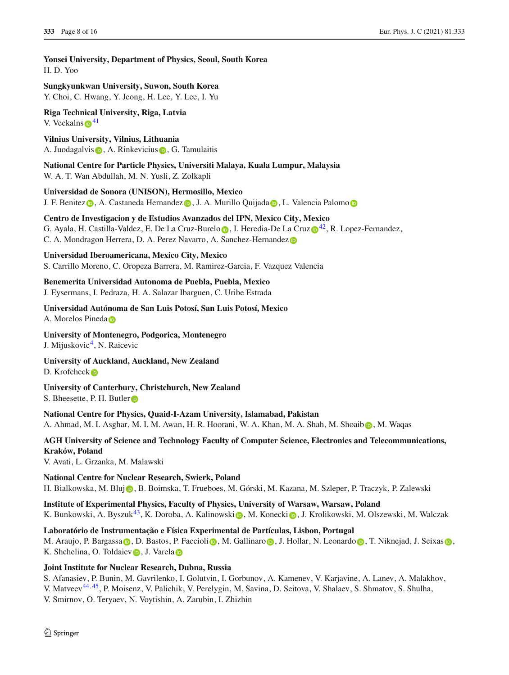# **Yonsei University, Department of Physics, Seoul, South Korea** H. D. Yoo

**Sungkyunkwan University, Suwon, South Korea**

Y. Choi, C. Hwang, Y. Jeong, H. Lee, Y. Lee, I. Yu

**Riga Technical University, Riga, Latvia** V. Veckalns  $\mathbf{D}^{41}$  $\mathbf{D}^{41}$  $\mathbf{D}^{41}$ 

**Vilnius University, Vilnius, Lithuania** A. Juodagalvis  $\bigcirc$ [,](http://orcid.org/0000-0002-7510-255X) A. Rinkevicius  $\bigcirc$ , G. Tamulaitis

**National Centre for Particle Physics, Universiti Malaya, Kuala Lumpur, Malaysia** W. A. T. Wan Abdullah, M. N. Yusli, Z. Zolkapli

**Universidad de Sonora (UNISON), Hermosillo, Mexico** J. F. Benite[z](http://orcid.org/0000-0003-4766-1546) **e**[,](http://orcid.org/0000-0002-2633-6712) A. C[a](http://orcid.org/0000-0003-4933-2092)staneda Hernandez **e**, J. A. Murillo Quijada **e**, L. Valencia Palomo **e** 

**Centro de Investigacion y de Estudios Avanzados del IPN, Mexico City, Mexico** G. Ayala[,](http://orcid.org/0000-0002-7469-6974) H. Castilla-Valdez, E. De La Cruz-Burelo , I. Heredia-De La Cruz  $\bigcirc^{42}$ , R. Lopez-Fernandez, C. A. Mondragon Herrera, D. A. Perez Navarro, A. Sanchez-Hernande[z](http://orcid.org/0000-0001-9548-0358)

**Universidad Iberoamericana, Mexico City, Mexico** S. Carrillo Moreno, C. Oropeza Barrera, M. Ramirez-Garcia, F. Vazquez Valencia

**Benemerita Universidad Autonoma de Puebla, Puebla, Mexico**

J. Eysermans, I. Pedraza, H. A. Salazar Ibarguen, C. Uribe Estrada

**Universidad Autónoma de San Luis Potosí, San Luis Potosí, Mexico** A. Morelos Pined[a](http://orcid.org/0000-0002-0338-9862)

**University of Montenegro, Podgorica, Montenegro** J. Mijuskovic<sup>4</sup>, N. Raicevic

**University of Auckland, Auckland, New Zealand** D. Krofchec[k](http://orcid.org/0000-0001-5494-7302)<sub>D</sub>

**University of Canterbury, Christchurch, New Zealand** S. Bheesette, P. H. Butle[r](http://orcid.org/0000-0001-9878-2140)

**National Centre for Physics, Quaid-I-Azam University, Islamabad, Pakistan** A. Ahmad[,](http://orcid.org/0000-0001-6791-8252) M. I. Asghar, M. I. M. Awan, H. R. Hoorani, W. A. Khan, M. A. Shah, M. Shoaib **D.**, M. Waqas

# **AGH University of Science and Technology Faculty of Computer Science, Electronics and Telecommunications, Kraków, Poland**

V. Avati, L. Grzanka, M. Malawski

**National Centre for Nuclear Research, Swierk, Poland** H. Bialkowska, M. Blu[j](http://orcid.org/0000-0003-1229-1442) **D**, B. Boimska, T. Frueboes, M. Górski, M. Kazana, M. Szleper, P. Traczyk, P. Zalewski

**Institute of Experimental Physics, Faculty of Physics, University of Warsaw, Warsaw, Poland** K. Bunkowski[,](http://orcid.org/0000-0002-1280-5493) A. Byszuk<sup>43</sup>, K. Doroba, A. Kal[i](http://orcid.org/0000-0001-9482-4841)nowski **(b, M. Konecki (b, J. Krolikowski, M. Olszewski, M. Walczak** 

**Laboratório de Instrumentação e Física Experimental de Partículas, Lisbon, Portugal**

M. Araujo[,](http://orcid.org/0000-0002-9746-4594) P. Barga[s](http://orcid.org/0000-0002-7531-0842)sa **(b**, D. Bastos, P. Faccioli **(b**, M. Gallinaro **b**, J. Hollar, N. Leonardo **b**, T. Niknejad, J. Seixas **b**, K. Shchelina[,](http://orcid.org/0000-0002-8286-8780) O. Told[a](http://orcid.org/0000-0003-2613-3146)iev **D**, J. Varela **D** 

# **Joint Institute for Nuclear Research, Dubna, Russia**

S. Afanasiev, P. Bunin, M. Gavrilenko, I. Golutvin, I. Gorbunov, A. Kamenev, V. Karjavine, A. Lanev, A. Malakhov, V. Matveev<sup>[44](#page-14-35), 45</sup>, P. Moisenz, V. Palichik, V. Perelygin, M. Savina, D. Seitova, V. Shalaev, S. Shmatov, S. Shulha, V. Smirnov, O. Teryaev, N. Voytishin, A. Zarubin, I. Zhizhin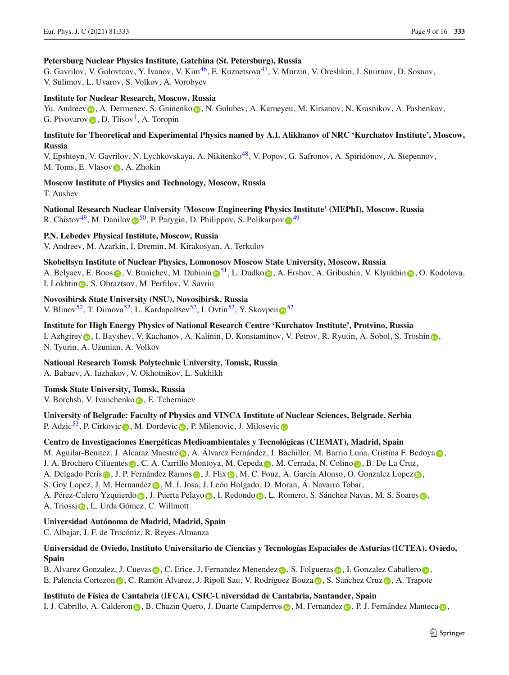# **Petersburg Nuclear Physics Institute, Gatchina (St. Petersburg), Russia**

G. Gavrilov, V. Golovtcov, Y. Ivanov, V. Kim[46,](#page-14-37) E. Kuznetsov[a47,](#page-14-38) V. Murzin, V. Oreshkin, I. Smirnov, D. Sosnov, V. Sulimov, L. Uvarov, S. Volkov, A. Vorobyev

#### **Institute for Nuclear Research, Moscow, Russia**

Yu. Andreev **D**[,](http://orcid.org/0000-0001-6495-7619) A. Dermenev, S. Gninenko **D**, N. Golubev, A. Karneyeu, M. Kirsanov, N. Krasnikov, A. Pashenkov, G. Pivovarov  $\bullet$ [,](http://orcid.org/0000-0001-6435-4463) D. Tlisov<sup>†</sup>, A. Toropin

#### **Institute for Theoretical and Experimental Physics named by A.I. Alikhanov of NRC 'Kurchatov Institute', Moscow, Russia**

V. Epshteyn, V. Gavrilov, N. Lychkovskaya, A. Nikitenko<sup>48</sup>, V. Popov, G. Safronov, A. Spiridonov, A. Stepennov, M. Toms, E. Vlaso[v](http://orcid.org/0000-0002-8628-2090) D, A. Zhokin

#### **Moscow Institute of Physics and Technology, Moscow, Russia**

T. Aushev

**National Research Nuclear University 'Moscow Engineering Physics Institute' (MEPhI), Moscow, Russia** R. Chisto[v](http://orcid.org/0000-0001-6839-928X)<sup>[49](#page-14-40)</sup>, M. Danilov  $\bullet^{50}$ , P. Parygin, D. Philippov, S. Polikarpov  $\bullet^{49}$ 

#### **P.N. Lebedev Physical Institute, Moscow, Russia**

V. Andreev, M. Azarkin, I. Dremin, M. Kirakosyan, A. Terkulov

#### **Skobeltsyn Institute of Nuclear Physics, Lomonosov Moscow State University, Moscow, Russia**

A. Belyaev[,](http://orcid.org/0000-0002-4462-3192) E. Boos  $\bullet$ , V. Bu[n](http://orcid.org/0000-0002-8577-6531)ichev, M. Dubinin  $\bullet$  <sup>51</sup>, L. Dudko  $\bullet$ , A. Ershov, A. Gribushin, V. Klyukhin  $\bullet$ , O. Kodolova, I. Lokhtin **D**[,](http://orcid.org/0000-0002-4457-8678) S. Obraztsov, M. Perfilov, V. Savrin

**Novosibirsk State University (NSU), Novosibirsk, Russia** V. Blinov<sup>[52](#page-14-43)</sup>, T. Dimova<sup>52</sup>, L. Kardapoltsev<sup>52</sup>, I. Ovtin<sup>52</sup>, Y. Skovpen  $\bullet$ <sup>52</sup>

**Institute for High Energy Physics of National Research Centre 'Kurchatov Institute', Protvino, Russia** I. Azhgirey **D**[,](http://orcid.org/0000-0001-5493-1773) I. Bayshev, V. Kachanov, A. Kalinin, D. Konstantinov, V. Petrov, R. Ryutin, A. Sobol, S. Troshin **D**,

N. Tyurin, A. Uzunian, A. Volkov

**National Research Tomsk Polytechnic University, Tomsk, Russia** A. Babaev, A. Iuzhakov, V. Okhotnikov, L. Sukhikh

#### **Tomsk State University, Tomsk, Russia**

V. Borchsh[,](http://orcid.org/0000-0002-1844-5433) V. Ivanchenko **D**, E. Tcherniaev

**University of Belgrade: Faculty of Physics and VINCA Institute of Nuclear Sciences, Belgrade, Serbia** P. Adzic<sup>53</sup>[,](http://orcid.org/0000-0002-8407-3236) P. Cirkovic **D**, M. Dordevic **D**, P. Milenovic, J. Milosevic **D** 

#### **Centro de Investigaciones Energéticas Medioambientales y Tecnológicas (CIEMAT), Madrid, Spain**

M. Aguilar-Benitez[,](http://orcid.org/0000-0003-0914-7474) J. Alc[a](http://orcid.org/0000-0001-8057-9152)raz Maestre , A. Álvarez Fernández, I. Bachiller, M. Barrio Luna, Cristina F. Bedoya  $\odot$ ,

J. A. Br[o](http://orcid.org/0000-0002-3656-0259)chero Cifuentes **(b**[,](http://orcid.org/0000-0002-6076-4083) C. A. Carrillo Montoya, M. Cepeda **(b**), M. Cerrada, N. Colino **(b**), B. De La Cruz,

A. Delgado Peri[s](http://orcid.org/0000-0002-8511-7958) **(b**[,](http://orcid.org/0000-0002-4532-6464) J. P. Fernández Ramos **(b**, J. Flix **(b**, M. C. Fouz, A. García Alonso, O. Gonzalez Lopez **(b**,

S. Goy Lope[z](http://orcid.org/0000-0001-6436-7547), J. M. Hernandez **(b)**, M. I. Josa, J. León Holgado, D. Moran, Á. Navarro Tobar,

A. Pérez-Calero Yzquierdo **D**[,](http://orcid.org/0000-0001-9676-6059) J. Puerta Pelayo **D**, I. Redondo **D**, L. Romero, S. Sánchez Navas, M. S. Soares **D**, A. Triossi **D**[,](http://orcid.org/0000-0001-5140-9154) L. Urda Gómez, C. Willmott

#### **Universidad Autónoma de Madrid, Madrid, Spain**

C. Albajar, J. F. de Trocóniz, R. Reyes-Almanza

#### **Universidad de Oviedo, Instituto Universitario de Ciencias y Tecnologías Espaciales de Asturias (ICTEA), Oviedo, Spain**

B. Alvarez Gonzalez[,](http://orcid.org/0000-0002-8087-3199) J. Cueva[s](http://orcid.org/0000-0001-7191-1125) **(b**, C. Erice, J. Fernandez Menendez **(b**, S. Folgueras **(b**, I. Gonzalez Caballero **(b**), E. Palencia Cortezon **(b**[,](http://orcid.org/0000-0002-9991-195X) C. Ramón Álvarez, J. Ripoll Sau, V. Rodríguez Bouza **(b**, S. Sanchez Cruz **(b**), A. Trapote

#### **Instituto de Física de Cantabria (IFCA), CSIC-Universidad de Cantabria, Santander, Spain**

I. J. Cabrillo[,](http://orcid.org/0000-0003-2566-7496) A. Calderon **(b**, B. Chazin Quero, J. Duarte Campderro[s](http://orcid.org/0000-0003-0687-5214) **(b**, M. Fernandez **(b**, P. J. Fernández Manteca **(b**),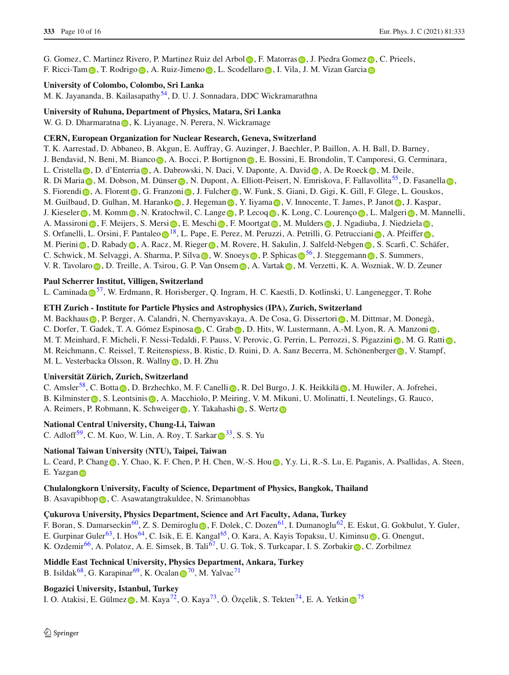G. Gomez[,](http://orcid.org/0000-0002-9157-1700) C. Martinez Rivero, P. Martinez Ruiz del Arbol **D.** F. Matorras **D.** J. Piedra Gomez **D**. C. Prieels, F. Ricci-Tam  $\circledcirc$ [,](http://orcid.org/0000-0002-4974-8330) T. Rodrigo  $\circledcirc$ , A. Ruiz-Jimeno  $\circledcirc$ , L. Scodellaro  $\circledcirc$ , I. Vila, J. M. Vizan Garcia  $\circledcirc$ 

#### **University of Colombo, Colombo, Sri Lanka**

M. K. Jayananda, B. Kailasapathy<sup>54</sup>, D. U. J. Sonnadara, DDC Wickramarathna

**University of Ruhuna, Department of Physics, Matara, Sri Lanka** W. G. D. Dharmaratna **D**[,](http://orcid.org/0000-0002-6366-837X) K. Liyanage, N. Perera, N. Wickramage

#### **CERN, European Organization for Nuclear Research, Geneva, Switzerland**

T. K. Aarrestad, D. Abbaneo, B. Akgun, E. Auffray, G. Auzinger, J. Baechler, P. Baillon, A. H. Ball, D. Barney, J. Bendavid[,](http://orcid.org/0000-0002-5360-1454) N. Beni, M. Bianco **(b)**, A. Bocci, P. Bortignon **(b)**, E. Bossini, E. Brondolin, T. Camporesi, G. Cerminara, L. Cristella **D**[,](http://orcid.org/0000-0002-9228-5271) D. [d](http://orcid.org/0000-0001-5854-7699)'Enterria **D**, A. Dabrowski, N. Daci, V. Daponte, A. David **D**, A. De Roeck **D**, M. Deile, R. Di Maria [,](http://orcid.org/0000-0002-0186-3639) M. Dobson, M. Dünse[r](http://orcid.org/0000-0002-8502-2297)  $\circledcirc$ , N. Dupont, A. Elliott-Peisert, N. Emriskov[a](http://orcid.org/0000-0002-2926-2691), F. Fallavollita<sup>55</sup>, D. Fasanella  $\circledcirc$ , S. F[i](http://orcid.org/0000-0003-3273-9419)orendi **(b**[,](http://orcid.org/0000-0002-2801-520X) A. Florent **b**, G. Franzoni **b**, J. Fulcher **b**, W. Funk, S. Giani, D. Gigi, K. Gill, F. Glege, L. Gouskos, M. Guilbaud, D. Gulhan, M. Harank[o](http://orcid.org/0000-0002-9376-9235) **(b. J.** Hegeman **b.** Y. Iiyama **b.** V. Innocente[,](http://orcid.org/0000-0001-7339-4272) T. James, P. Janot **b**. J. Kaspar, J. Kieseler **(b**[,](http://orcid.org/0000-0002-0113-7389) M. Komm **b**, N. Kratochwil, C. Lange **b**, P. Lecoq **b**, K. Long, C. Lourenço **b**, L. Malgeri **o**, M. Mannelli, A. Massironi **(b**[,](http://orcid.org/0000-0002-9514-0799) F. Meijers, S. Mersi **(b**, E. Meschi **p**), F. Moortgat **p**, M. Mulders **p**, J. Ngadiuba, J. Niedziela **p**, S. Orfanelli[,](http://orcid.org/0000-0001-5328-448X) L. Orsini, F. Pantaleo <sup>18</sup>, L. Pape, E. Perez, M. Peruzzi, A. Petrilli, G. Petrucciani **D**, A. Pfeiffer **D**, M. P[i](http://orcid.org/0000-0003-1939-4268)erini **D**[,](http://orcid.org/0000-0003-3879-5622) D. Rabady **D**, A. Racz, M. Rieger **D**, M. Rovere, H. Sakulin, J. Salfeld-Nebgen **D**, S. Scarfi, C. Schäfer, C. Schwick[,](http://orcid.org/0000-0003-4420-5510) M. Selvaggi, A. Sharma, P. Silva  $\circledcirc$ , W. Snoeys  $\circledcirc$ , P. Sphicas  $\circledcirc$ <sup>56</sup>, J. Steggemann  $\circledcirc$ , S. Summers, V. R. Tav[o](http://orcid.org/0000-0003-2518-7521)laro **(b**[,](http://orcid.org/0000-0003-1507-1365) D. Treille, A. Tsirou, G. P. Van Onsem **(b**, A. Vartak **(b**), M. Verzetti, K. A. Wozniak, W. D. Zeuner

#### **Paul Scherrer Institut, Villigen, Switzerland**

L. Caminada  $\bullet$ <sup>57</sup>, W. Erdmann, R. Horisberger, Q. Ingram, H. C. Kaestli, D. Kotlinski, U. Langenegger, T. Rohe

# **ETH Zurich - Institute for Particle Physics and Astrophysics (IPA), Zurich, Switzerland**

M. Backhaus **D**[,](http://orcid.org/0000-0002-4549-2569) P. Berger, A. Calandri, N. Chernyavskaya, A. De Cosa, G. Dissertori **D**, M. Dittmar, M. Donegà, C. Dorfer[,](http://orcid.org/0000-0002-7584-5038) T. Gadek, T. A. Gómez Espinosa **([b](http://orcid.org/0000-0002-6182-3380)**, C. Grab **[b**, D. Hits, W. Lustermann, A.-M. Lyon, R. A. Manzoni **[b**, M. T. Meinhard[,](http://orcid.org/0000-0003-1777-7855) F. Micheli, F. Nessi-Tedaldi, F. Pauss, V. Perovic, G. Perrin, L. Perrozzi, S. Pigazzini (D, M. G. Ratti (D, M. Reichmann, C. Reissel, T. Reitenspiess, B. Ristic, D. Ruini, D. A. Sanz Bece[r](http://orcid.org/0000-0002-6508-5776)ra, M. Schönenberger **(b)**, V. Stampf, M. L. Vesterbacka Olsson[,](http://orcid.org/0000-0001-8038-1613) R. Wallny **D**, D. H. Zhu

#### **Universität Zürich, Zurich, Switzerland**

C. Amsler<sup>58</sup>[,](http://orcid.org/0000-0002-0538-1469) C. Botta **D**, D. Brzhechko, M. F. Canell[i](http://orcid.org/0000-0001-6361-2117) **D**, R. Del Burgo, J. K. Heikkilä **D**, M. Huwiler, A. Jofrehei, B. Kilminste[r](http://orcid.org/0000-0002-6657-0407) **O**[,](http://orcid.org/0000-0002-7561-6091) S. Leontsinis **O**, A. Macchiolo, P. Meiring, V. M. Mikuni, U. Molinatti, I. Neutelings, G. Rauco, A. Reimers[,](http://orcid.org/0000-0002-5846-3919) P. Robmann, K. Schwe[i](http://orcid.org/0000-0001-5184-2265)ger **D**, Y. Takahashi **D**, S. Wertz **D** 

## **National Central University, Chung-Li, Taiwan**

C. Adloff<sup>59</sup>, C. M. Kuo, W. Lin, A. Roy, T. Sarkar  $\mathbb{D}^{33}$ , S. S. Yu

#### **National Taiwan University (NTU), Taipei, Taiwan**

L. Ceard[,](http://orcid.org/0000-0002-4260-5118) P. Chang **D**, Y. Chao, K. F. Chen, P. H. Chen, W.-S. Hou **D**, Y.y. Li, R.-S. Lu, E. Paganis, A. Psallidas, A. Steen, E. Yazga[n](http://orcid.org/0000-0001-5732-7950)<sup>D</sup>

#### **Chulalongkorn University, Faculty of Science, Department of Physics, Bangkok, Thailand**

B. Asavapibhop [,](http://orcid.org/0000-0003-1892-7130) C. Asawatangtrakuldee, N. Srimanobhas

#### **Çukurova University, Physics Department, Science and Art Faculty, Adana, Turkey**

F. Boran[,](http://orcid.org/0000-0001-7977-7127) S. Damarseckin<sup>60</sup>, Z. S. Demiroglu **D**, F. Dolek, C. Dozen<sup>61</sup>, I. Dumanoglu<sup>62</sup>, E. Eskut, G. Gokbulut, Y. Guler, E. Gurpinar Guler<sup>63</sup>[,](http://orcid.org/0000-0001-6940-7800) I. Hos<sup>64</sup>, C. Isik, E. E. Kangal<sup>65</sup>, O. Kara, A. Kayis Topaksu, U. Kiminsu **(b)**, G. Onengut, K. Ozdemir<sup>66</sup>[,](http://orcid.org/0000-0002-5962-2221) A. Polatoz, A. E. Simsek, B. Tali<sup>67</sup>, U. G. Tok, S. Turkcapar, I. S. Zorbakir **D**, C. Zorbilmez

**Middle East Technical University, Physics Department, Ankara, Turkey**

B. Isildak<sup>68</sup>, G. Karapi[n](http://orcid.org/0000-0002-8419-1400)ar<sup>69</sup>, K. Ocalan  $\bigcirc^{70}$ , M. Yalvac<sup>71</sup>

# **Bogazici University, Istanbul, Turkey**

I. O. Atakisi, E. Gülme[z](http://orcid.org/0000-0002-6353-518X)  $\odot$ , M. Kaya<sup>72</sup>, O. Kaya<sup>73</sup>, Ö. Özçelik, S. Tekten<sup>74</sup>, E. A. Yetkin  $\odot$ <sup>[75](#page-15-14)</sup>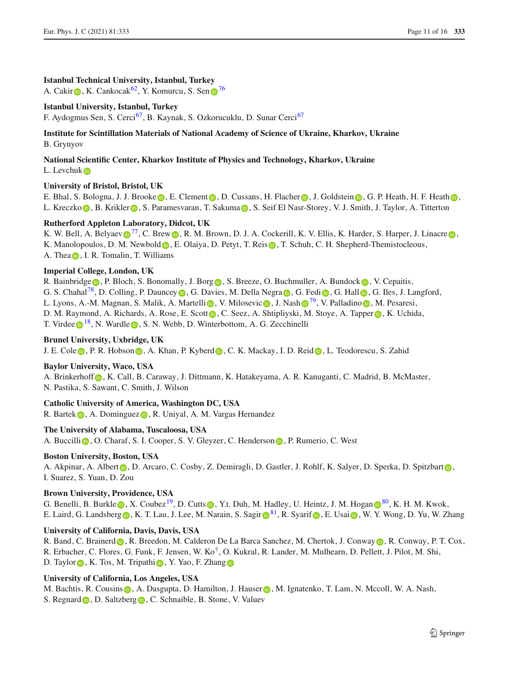#### **Istanbul Technical University, Istanbul, Turkey**

A. Caki[r](http://orcid.org/0000-0002-8627-7689) **D**, K. Ca[n](http://orcid.org/0000-0001-7325-1087)kocak<sup>62</sup>, Y. Komurcu, S. Sen  $\Box$ <sup>[76](#page-15-15)</sup>

# **Istanbul University, Istanbul, Turkey**

F. Aydogmus Sen, S. Cerci<sup>67</sup>, B. Kaynak, S. Ozkorucuklu, D. Sunar Cerci<sup>67</sup>

# **Institute for Scintillation Materials of National Academy of Science of Ukraine, Kharkov, Ukraine** B. Grynyov

### **National Scientific Center, Kharkov Institute of Physics and Technology, Kharkov, Ukraine** L. Levchuk<sub>D</sub>

#### **University of Bristol, Bristol, UK**

E. Bhal[,](http://orcid.org/0000-0002-5371-941X) S. Bolog[n](http://orcid.org/0000-0003-1591-6014)a, J. J. Brooke **D**, E. Clemen[t](http://orcid.org/0000-0003-3412-4004) **D**, D. Cussans, H. Flac[h](http://orcid.org/0000-0001-6576-9740)er **D**, J. Goldstein **D**, G. P. Heath, H. F. Heath **D**, L. Kreczko **[,](http://orcid.org/0000-0003-3225-9861) B. Krikler , S. Paramesvaran, T. Sakuma , S. Seif El Nasr-Storey, V. J. Smith, J. Taylor, A. Titterton** 

#### **Rutherford Appleton Laboratory, Didcot, UK**

K. W. Bell, A. Belyae[v](http://orcid.org/0000-0002-1733-4408)  $\bigcirc^{77}$ [,](http://orcid.org/0000-0001-7555-652X) C. Brew  $\bigcirc$ , R. M. Brown, D. J. A. Cockerill, K. V. Ellis, K. Harder, S. Harper, J. Linacre  $\bigcirc$ , K. Manolopoulos[,](http://orcid.org/0000-0002-9015-9634) D. M. Newbold **(a)**, E. Olaiya, D. Petyt, T. Rei[s](http://orcid.org/0000-0003-3703-6624) **(a)**, T. Schuh, C. H. Shepherd-Themistocleous, A. Thea **D**[,](http://orcid.org/0000-0002-4090-9046) I. R. Tomalin, T. Williams

#### **Imperial College, London, UK**

R. Bainbridge  $\circledcirc$ [,](http://orcid.org/0000-0002-2916-6456) P. Bloch, S. Bonomally, J. Borg  $\circledcirc$ , S. Breeze, O. Buchmuller, A. Bundock  $\circledcirc$ , V. Cepaitis, G. S. Chahal<sup>78</sup>[,](http://orcid.org/0000-0002-6299-8385) D. Colling, P. D[a](http://orcid.org/0000-0001-6497-8081)uncey **(b)**, G. Davies, M. Della Negra **(b)**, G. Fedi **(b)**, G. Hall **(b)**, G. Iles, J. Langford, L. Lyons[,](http://orcid.org/0000-0002-9786-9620) A.-M. Magnan, S. Malik, A. Martelli **(b**, V. Milosevic **b**, J. Nash  $\mathbb{D}^{79}$ , V. Palladino **b**, M. Pesaresi, D. M. Raymond, A. Richards, A. Rose, E. Sco[t](http://orcid.org/0000-0003-0352-6836)t **D**[,](http://orcid.org/0000-0003-4543-864X) C. Seez, A. Shtipliyski, M. Stoye, A. Tapper **D**, K. Uchida, T. Virdee  $\bigcirc$  [18,](#page-14-9) N. Wardle  $\bigcirc$ [,](http://orcid.org/0000-0003-1344-3356) S. N. Webb, D. Winterbottom, A. G. Zecchinelli

#### **Brunel University, Uxbridge, UK**

J. E. Cole **D**[,](http://orcid.org/0000-0002-9235-779X) P. R. Hobso[n](http://orcid.org/0000-0002-5645-5253) **D**, A. Khan, P. Kyberd **D**, C. K. Mackay, I. D. Reid **D**, L. Teodorescu, S. Zahid

#### **Baylor University, Waco, USA**

A. Brinkerhoff **(b)**[,](http://orcid.org/0000-0002-4853-0401) K. Call, B. Caraway, J. Dittmann, K. Hatakeyama, A. R. Kanuganti, C. Madrid, B. McMaster, N. Pastika, S. Sawant, C. Smith, J. Wilson

#### **Catholic University of America, Washington DC, USA**

R. Bartek **D**[,](http://orcid.org/0000-0002-1686-2882) A. Domingue[z](http://orcid.org/0000-0002-7420-5493) **D**, R. Uniyal, A. M. Vargas Hernandez

#### **The University of Alabama, Tuscaloosa, USA**

A. Buccilli **(b**[,](http://orcid.org/0000-0002-6986-9404) O. Charaf, S. I. Cooper, S. V. Gleyzer, C. Henderson **(b**), P. Rumerio, C. West

#### **Boston University, Boston, USA**

A. Akpinar[,](http://orcid.org/0000-0003-2369-9507) A. Alber[t](http://orcid.org/0000-0003-2025-2742) **D**, D. Arcaro, C. Cosby, Z. Demiragli, D. Gastler, J. Rohlf, K. Salyer, D. Sperka, D. Spitzbart **D**, I. Suarez, S. Yuan, D. Zou

#### **Brown University, Providence, USA**

G. Benelli[,](http://orcid.org/0000-0003-1041-7099) B. Burkle **D**, X. Coubez<sup>19</sup>, D. Cutts **D**, Y.t. Duh, M. Hadley, U. Heintz, J. M. Hogan  $\bullet^{80}$ , K. H. M. Kwok, E. Laird, G. Landsber[g](http://orcid.org/0000-0002-4184-9380) **(b**[,](http://orcid.org/0000-0001-9323-2107) K. T. Lau, J. Lee, M. Narain, S. Sagir  $\bigcirc$ <sup>81</sup>, R. Syarif  $\bigcirc$ , E. Usai  $\bigcirc$ , W. Y. Wong, D. Yu, W. Zhang

# **University of California, Davis, Davis, USA**

R. Band[,](http://orcid.org/0000-0002-9552-1006) C. Brainerd **(b)**, R. Breedon, M. Calderon De La Barca Sanchez, M. Chertok, J. Conwa[y](http://orcid.org/0000-0003-2719-5779) **(b)**, R. Conway, P. T. Cox, R. Erbacher, C. Flores, G. Funk, F. Jensen, W. Ko†, O. Kukral, R. Lander, M. Mulhearn, D. Pellett, J. Pilot, M. Shi, D. Taylor  $\bigcirc$  $\bigcirc$  $\bigcirc$ [,](http://orcid.org/0000-0001-9892-5105) K. Tos, M. Tripathi  $\bigcirc$ , Y. Yao, F. Zhang  $\bigcirc$ 

# **University of California, Los Angeles, USA**

M. Bachtis[,](http://orcid.org/0000-0002-9781-4873) R. Cousins **(b)**, A. Dasgupta, D. Hamilton, J. Hauser **(b)**, M. Ignatenko, T. Lam, N. Mccoll, W. A. Nash, S. Regnard  $\text{D}$ [,](http://orcid.org/0000-0003-0658-9146) D. Saltzberg  $\text{D}$ , C. Schnaible, B. Stone, V. Valuev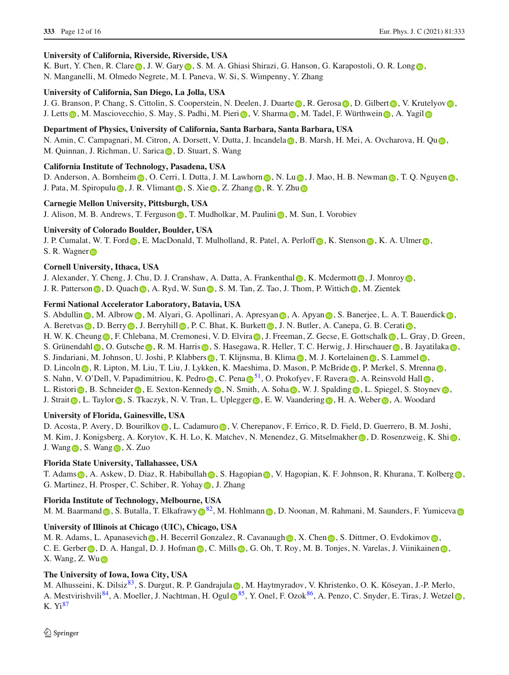# **University of California, Riverside, Riverside, USA**

K. Burt[,](http://orcid.org/0000-0002-2180-7634) Y. Chen, R. Clare  $\circledcirc$ , J. W. Gary  $\circledcirc$ , S. M. A. Ghiasi Shirazi, G. Hanson, G. Karapostoli, O. R. Long  $\circledcirc$ , N. Manganelli, M. Olmedo Negrete, M. I. Paneva, W. Si, S. Wimpenny, Y. Zhang

# **University of California, San Diego, La Jolla, USA**

J. G. Branson[,](http://orcid.org/0000-0002-1386-0232) P. Ch[a](http://orcid.org/0000-0001-8359-3734)ng, S. Ci[t](http://orcid.org/0000-0002-4106-9667)tolin, S. Cooperstein, N. Deelen, J. Duarte **D**, R. Gerosa **D**, D. Gilbert **D**, V. Krutelyov **D**, J. Letts **D**[,](http://orcid.org/0000-0001-5912-6124) M. Masciovecchio, S. May, S. Padhi, M. Pieri **D**, V. Sharma **D**, M. Tade[l](http://orcid.org/0000-0002-6108-4004), F. Würthwein **D**, A. Yagil **D** 

# **Department of Physics, University of California, Santa Barbara, Santa Barbara, USA**

N. Amin[,](http://orcid.org/0000-0002-0250-8655) C. Campagnari, M. Citron, A. Dorsett, V. Dutta, J. Incandela **D**, B. Marsh, H. Mei, A. Ovcharova, H. Qu **D**, M. Quinnan[,](http://orcid.org/0000-0002-1557-4424) J. Richman, U. Sarica D. D. Stuart, S. Wang

# **California Institute of Technology, Pasadena, USA**

D. Anderson, A. Bornhei[m](http://orcid.org/0000-0002-0128-0871) **(b**, O. Cerri, I. Dutta, J. M. Lawhor[n](http://orcid.org/0000-0003-3954-5131) **(b**[,](http://orcid.org/0000-0003-0964-1480) N. Lu **b**, J. Mao, H. B. Newman **(b**, T. Q. Nguyen **b**, J. Pata[,](http://orcid.org/0000-0002-1630-0986) M. Spiropulu  $\bullet$ , J. R. Vlimant  $\bullet$ , S. Xie  $\bullet$ , Z. Zhang  $\bullet$ , R. Y. Zhu  $\bullet$ 

# **Carnegie Mellon University, Pittsburgh, USA**

J. Alison[,](http://orcid.org/0000-0001-5822-3731) M. B. Andrews, T. Ferguson  $\circled{P}$  $\circled{P}$  $\circled{P}$ , T. Mudholkar, M. Paulini  $\circled{P}$ , M. Sun, I. Vorobiev

# **University of Colorado Boulder, Boulder, USA**

J. P. Cumalat[,](http://orcid.org/0000-0003-4888-205X) W. T. Fo[r](http://orcid.org/0000-0001-6875-9177)d  $\circledcirc$ , E. MacDonald, T. Mulholland, R. Patel, A. Perloff  $\circledcirc$ , K. Stenson  $\circledcirc$ , K. A. Ulmer  $\circledcirc$ , S. R. Wagner

# **Cornell University, Ithaca, USA**

J. Alexander[,](http://orcid.org/0000-0003-2807-993X) Y. Cheng, J. Chu, D. J. Cranshaw, A. Datta, A. Frankenthal  $\bigcirc$ , K. Mcdermott  $\bigcirc$ , J. Monro[y](http://orcid.org/0000-0002-7394-4710)  $\bigcirc$ , J. R. Patterso[n](http://orcid.org/0000-0002-3815-3649)  $\circledcirc$ [,](http://orcid.org/0000-0002-7401-2181) D. Quach  $\circledcirc$ , A. Ryd, W. Sun  $\circledcirc$ , S. M. Tan, Z. Tao, J. Thom, P. Wittich  $\circledcirc$ , M. Zientek

# **Fermi National Accelerator Laboratory, Batavia, USA**

S. Abdullin  $\circ$ [,](http://orcid.org/0000-0002-7170-9012) M. Albro[w](http://orcid.org/0000-0001-7329-4925)  $\circ$ , M. Alyari, G. Apollinari, A. Apresyan  $\circ$ , A. Apyan  $\circ$ , S. Banerjee, L. A. T. Bauerdick  $\circ$ , A. Beretvas **(b**[,](http://orcid.org/0000-0003-3548-0262) D. Berry **in**, J. Berryhi[l](http://orcid.org/0000-0002-8124-3033)l **in**, P. C. Bhat, K. Burkett **in**, J. N. Butler, A. Canepa, G. B. Cerati **in**, H. W. K. Cheung **D.** F. Chlebana[,](http://orcid.org/0000-0002-7549-5875) M. Cremonesi, V. D. Elvira **D.** J. Freeman, Z. Gecse, E. Gottschalk **D.** L. Gray, D. Green, S. Grünendahl **(b**[,](http://orcid.org/0000-0001-7912-5612) O. Gutsche **(b**), R. M. Harris **(b**), S. Hasegawa, R. Heller, T. C. Herwig, J. Hirschauer **(b**), B. Jayatilaka **(b**), S. Jindariani[,](http://orcid.org/0000-0003-0027-635X) M. Johnson, U. Joshi, P. Klabbers **(b.**, T. Klijnsma, B. Klima **(b., M. J. Kortelainen (b., S. Lammel (b.**, D. Lincoln **(D**[,](http://orcid.org/0000-0001-8731-160X) R. Lipton, M. Liu, T. Liu, J. Lykken, K. Maeshima, D. Mason, P. McBride **(D**, P. Merkel, S. Mrenna **(D**, S. Nahn[,](http://orcid.org/0000-0003-1653-8553) V. O'Dell, V. Papadimitriou, K. Pedro  $\mathbf{O}$ , C. Pena  $\mathbf{O}^{51}$ , O. Prokofyev, F. Ravera  $\mathbf{O}$ , A. Reinsvold Hall  $\mathbf{O}$ , L. Ristori  $\bigcirc$ [,](http://orcid.org/0000-0003-4563-7702) B. Schneider  $\bigcirc$ , E. Sexton-Kenned[y](http://orcid.org/0000-0001-9171-1980)  $\bigcirc$ , N. Smith, A. Soh[a](http://orcid.org/0000-0002-5968-1192)  $\bigcirc$ , W. J. Spalding  $\bigcirc$ , L. Spiegel, S. Stoynev  $\bigcirc$ , J. S[t](http://orcid.org/0000-0002-7233-8348)rait **(b**[,](http://orcid.org/0000-0002-5074-0539) L. Taylor **ib**, S. Tkaczyk, N. V. Tran, L. Uplegger **ib**, E. W. Vaandering **ib**, H. A. Weber **ib**, A. Woodard

# **University of Florida, Gainesville, USA**

D. Acosta[,](http://orcid.org/0000-0001-8789-610X) P. Avery, D. Bourilkov **(b)**, L. Cadamuro (b), V. Cherepanov, F. Errico, R. D. Field, D. Guerrero, B. M. Joshi, M. Kim[,](http://orcid.org/0000-0002-2475-0055) J. Konigsberg, A. Korytov, K. H. Lo, K. Matchev, N. Menendez, G. Mitselmakher **D**, D. Rosenzweig, K. Shi **D**, J. Wang  $\bigcirc$ [,](http://orcid.org/0000-0003-4457-2513) S. Wang  $\bigcirc$ , X. Zuo

# **Florida State University, Tallahassee, USA**

T. Adams **(b**[,](http://orcid.org/0000-0002-9067-4492) A. Askew, D. Diaz, R. Habibullah **(b**, S. Ha[g](http://orcid.org/0000-0002-0211-6109)opian **(b**, V. Hagopian, K. F. Johnson, R. Khurana, T. Kolberg **(b**), G. Martinez, H. Prosper, C. Schiber, R. Yoha[y](http://orcid.org/0000-0002-0124-9065) **D.** J. Zhang

# **Florida Institute of Technology, Melbourne, USA**

M. M. Baarman[d](http://orcid.org/0000-0002-9792-8619) **(b**[,](http://orcid.org/0000-0003-4578-9319) S. Butalla, T. Elkafrawy <sup>82</sup>, M. Hohlmann **(b**, D. Noonan, M. Rahmani, M. Saunders, F. Yumiceva **(b**)

# **University of Illinois at Chicago (UIC), Chicago, USA**

M. R. Adams, L. Apanasevic[h](http://orcid.org/0000-0002-5685-5871)  $\circled{B}$ [,](http://orcid.org/0000-0001-7169-3420) H. Becerril Go[n](http://orcid.org/0000-0002-8157-1328)zalez, R. Ca[v](http://orcid.org/0000-0002-1250-8931)anaugh  $\circled{B}$ , X. Chen  $\circled{B}$ , S. Dittmer, O. Evdokimov  $\circled{B}$ , C. E. Ge[r](http://orcid.org/0000-0002-8116-9021)ber  $\bigcirc$ [,](http://orcid.org/0000-0001-8035-4818) D. A. Ha[n](http://orcid.org/0000-0003-2530-4265)gal, D. J. Hofman  $\bigcirc$ , C. Mills  $\bigcirc$ , G. Oh, T. Roy, M. B. Tonjes, N. Varelas, J. Viinikainen  $\bigcirc$ , X. Wang, Z. Wu

# **The University of Iowa, Iowa City, USA**

M. Alhusseini[,](http://orcid.org/0000-0001-9053-3182) K. Dilsiz<sup>83</sup>, S. Durgut, R. P. Gandrajula , M. Haytmyradov, V. Khristenko, O. K. Köseyan, J.-P. Merlo, A. Mestvirishvi[l](http://orcid.org/0000-0003-4687-7302)i<sup>84</sup>, A. Moeller, J. Nachtman, H. Ogul <sup>85</sup>, Y. Onel, F. Ozok<sup>86</sup>, A. Penzo, C. Snyder, E. Tiras, J. Wetzel **(a)**,  $K. Yi<sup>87</sup>$  $K. Yi<sup>87</sup>$  $K. Yi<sup>87</sup>$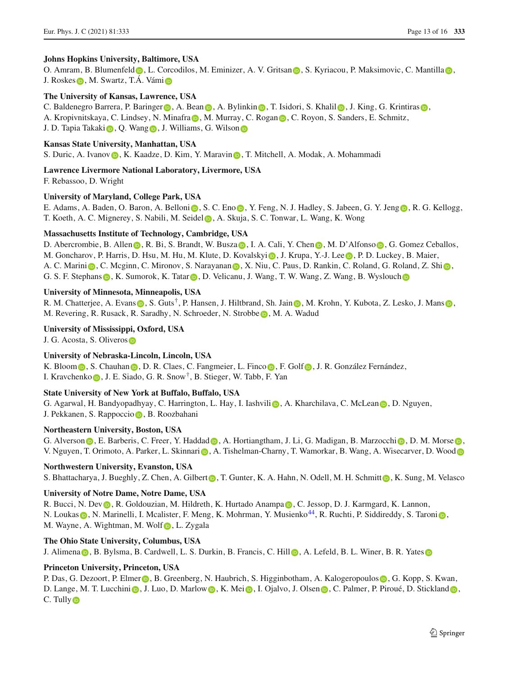#### **Johns Hopkins University, Baltimore, USA**

O. Amram[,](http://orcid.org/0000-0002-0177-5903) B. Blumenfeld **(b)**, L. Corcodilos, M. Eminizer, A. V. Gritsan **(b)**, S. Kyriacou, P. Maksimovic, C. Mantilla **(b)**, J. Roskes **D**[,](http://orcid.org/0000-0001-8761-0490) M. Swartz, T.Á. Vámi **D** 

#### **The University of Kansas, Lawrence, USA**

C. Baldenegro Barrera[,](http://orcid.org/0000-0001-8630-8046) P. Baringer **(b**, A. Bean **[b**, A. Bylinkin **[b**, T. I[s](http://orcid.org/0000-0002-0380-7577)idori, S. Khalil **[b**, J. King, G. Krintiras **[b**, A. Kropivnitskaya[,](http://orcid.org/0000-0003-4002-1888) C. Li[n](http://orcid.org/0000-0002-4166-4503)dsey, N. Minafra , M. Murray, C. Rogan , C. Royon, S. Sanders, E. Schmitz, J. D. Tap[i](http://orcid.org/0000-0002-0098-4279)a Takaki  $\bigcirc$ [,](http://orcid.org/0000-0003-3804-3244) Q. Wa[n](http://orcid.org/0000-0003-0917-4763)g  $\bigcirc$ , J. Williams, G. Wilson  $\bigcirc$ 

#### **Kansas State University, Manhattan, USA**

S. Duric[,](http://orcid.org/0000-0002-9449-0666) A. Ivanov **D**, K. Kaadze, D. Kim, Y. Maravin **D**, T. Mitchell, A. Modak, A. Mohammadi

**Lawrence Livermore National Laboratory, Livermore, USA**

F. Rebassoo, D. Wright

#### **University of Maryland, College Park, USA**

E. Adams, A. Baden, O. Baron, A. Bellon[i](http://orcid.org/0000-0002-1727-656X)  $\circledcirc$ [,](http://orcid.org/0000-0003-4282-2515) S. C. Eno  $\circledcirc$ , Y. Fen[g](http://orcid.org/0000-0001-8683-0301), N. J. Hadley, S. Jabeen, G. Y. Jeng  $\circledcirc$ , R. G. Kellogg, T. Koeth, A. C. Mignerey, S. Nabi[l](http://orcid.org/0000-0003-3550-6151)i, M. Seidel **D**, A. Skuja, S. C. Tonwar, L. Wang, K. Wong

#### **Massachusetts Institute of Technology, Cambridge, USA**

D. Abercrombie[,](http://orcid.org/0000-0002-7409-7904) B. Allen **(b**, R. Bi, S. Brandt, W. Busza **D**, I. A. Cali, Y. Chen **D**, M. D'Alfonso **D**, G. Gomez Ceballos, M. Goncharov[,](http://orcid.org/0000-0002-6923-293X) P. Harris, D. Hsu, M. Hu, M. Klut[e](http://orcid.org/0000-0003-2593-7767), D. Kovalskyi **...** J. Krupa, Y.-J. Lee **...** P. D. Luckey, B. Maier, A. C. Marini **(b**[,](http://orcid.org/0000-0001-5498-8825) C. Mcginn, C. Mironov, S. Narayanan **(b**, X. Niu, C. Paus, D. Rankin, C. Roland, G. Roland, Z. Shi **(b**), G. S. F. Stephan[s](http://orcid.org/0000-0003-3106-4894)  $\circledcirc$  $\circledcirc$  $\circledcirc$ , K. Sumorok, K. Tatar  $\circledcirc$ , D. Velicanu, J. Wang, T. W. Wang, Z. Wang, B. Wyslouch  $\circledcirc$ 

#### **University of Minnesota, Minneapolis, USA**

R. M. Chatterjee[,](http://orcid.org/0000-0003-2840-1087) A. Evans  $\bullet$ , S. Guts<sup>†</sup>, P. Hansen, J. Hiltbrand, Sh. Jain  $\bullet$ , M. Krohn, Y. Kubota, Z. Lesko, J. Mans  $\bullet$ , M. Revering[,](http://orcid.org/0000-0001-8835-8282) R. Rusack, R. Saradhy, N. Schroeder, N. Strobbe  $\odot$ , M. A. Wadud

#### **University of Mississippi, Oxford, USA**

J. G. Acosta, S. Oliveros D

#### **University of Nebraska-Lincoln, Lincoln, USA**

K. Bloo[m](http://orcid.org/0000-0002-4272-8900) **(b**[,](http://orcid.org/0000-0002-2630-5465) S. Chauhan **(b**, D. R. Claes, C. Fangmeier, L. Finco **(b**, F. Gol[f](http://orcid.org/0000-0003-3567-9351) **[b**, J. R. González Fernández, I. Kravchenko **D**[,](http://orcid.org/0000-0003-0068-0395) J. E. Siado, G. R. Snow<sup>†</sup>, B. Stieger, W. Tabb, F. Yan

#### **State University of New York at Buffalo, Buffalo, USA**

G. Agarwal, H. Bandyopadhyay, C. Harr[i](http://orcid.org/0000-0003-1948-5901)ngton[,](http://orcid.org/0000-0002-7450-4805) L. Hay, I. Iashvili (D., A. Kharchilava, C. McLean (D., D. Nguyen, J. Pekkanen[,](http://orcid.org/0000-0002-5449-2560) S. Rappoccio D, B. Roozbahani

#### **Northeastern University, Boston, USA**

G. Alverson  $\circledcirc$  $\circledcirc$  $\circledcirc$  $\circledcirc$  $\circledcirc$ [,](http://orcid.org/0000-0003-3163-2169) E. Barberis, C. Freer, Y. Haddad  $\circledcirc$ , A. Hortiangtham, J. Li, G. Madigan, B. Marzocchi  $\circledcirc$ , D. M. Morse  $\circledcirc$ , V. Nguyen[,](http://orcid.org/0000-0002-2019-6755) T. Orimoto, A. Parker, L. Skinnari **(b)**, A. Tishelman-Charny, T. Wamorkar, B. Wang, A. Wisecarver, D. Wood **(b)** 

#### **Northwestern University, Evanston, USA**

S. Bhattacharya[,](http://orcid.org/0000-0003-0814-3578) J. Bueghly, Z. Chen, A. Gilbert **D**, T. Gunter, K. A. Hahn, N. Odell, M. H. Schmitt **D**, K. Sung, M. Velasco

#### **University of Notre Dame, Notre Dame, USA**

R. Bucci[,](http://orcid.org/0000-0002-9779-3566) N. Dev **(b)**, R. Goldouzian, M. Hildreth, K. Hurtado Anampa **(b)**, C. Jessop, D. J. Karmgard, K. Lannon, N. Loukas **(b**[,](http://orcid.org/0000-0003-0049-6918) N. Mar[i](http://orcid.org/0000-0001-5778-3833)nelli, I. Mcalister, F. Meng, K. Mohrman, Y. Musienko<sup>44</sup>, R. Ruchti, P. Siddireddy, S. Taroni **(b**, M. Wayne[,](http://orcid.org/0000-0002-6997-6330) A. Wightman, M. Wolf  $\bigcirc$ , L. Zygala

#### **The Ohio State University, Columbus, USA**

J. Alimena [,](http://orcid.org/0000-0003-0059-0779) B. Byl[s](http://orcid.org/0000-0001-7366-1318)ma, B. Cardwell, L. S. Durkin, B. Francis, C. Hill **D**, A. Lefeld, B. L. Winer, B. R. Yates

#### **Princeton University, Princeton, USA**

P. Das[,](http://orcid.org/0000-0001-6830-3356) G. Dezoort, P. Elmer **(b)**, B. Greenberg, N. Haubrich, S. Higginbotham, A. Kalogeropoulo[s](http://orcid.org/0000-0003-3444-0314) **(b)**, G. Kopp, S. Kwan, D. Lange[,](http://orcid.org/0000-0003-4702-8820) M. T. Lucchi[n](http://orcid.org/0000-0002-9361-5762)i **(b**, J. Luo, D. Marlow **(b**, K. Mei **(b**, I. Ojalvo, J. Olsen **(b**, C. Palmer, P. Piroué, D. Stickland **(b**), C. Tully<sub>D</sub>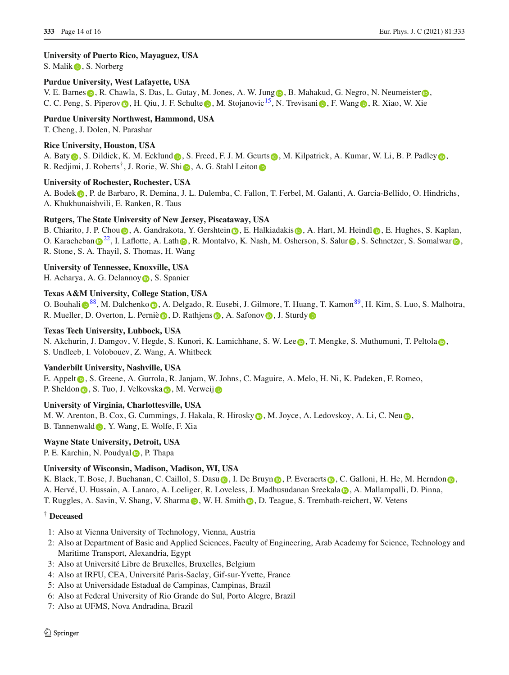# **University of Puerto Rico, Mayaguez, USA**

S. Mali[k](http://orcid.org/0000-0002-6356-2655) **D**, S. Norberg

# **Purdue University, West Lafayette, USA**

V. E. Barnes **D**[,](http://orcid.org/0000-0003-2356-1700) R. Chawla, S. Das, L. Gutay, M. Jones, A. W. Jung **O**, B. Mahakud, G. Negro, N. Neumeister **O**, C. C. Peng[,](http://orcid.org/0000-0002-5223-9342) S. Piperov  $\bigcirc$  $\bigcirc$  $\bigcirc$ , H. Qiu, J. F. Schulte  $\bigcirc$ , M. Stojanovic<sup>15</sup>, N. Trevisani  $\bigcirc$ , F. Wang  $\bigcirc$ , R. Xiao, W. Xie

# **Purdue University Northwest, Hammond, USA**

T. Cheng, J. Dolen, N. Parashar

# **Rice University, Houston, USA**

A. Baty  $\circledcirc$ [,](http://orcid.org/0000-0002-3572-5701) S. Dildick, K. M. Ecklund  $\circledcirc$ , S. Freed, F. J. M. Geurts  $\circledcirc$ , M. Kilpatrick, A. Kumar, W. Li, B. P. Padley  $\circledcirc$ , R. Redjimi[,](http://orcid.org/0000-0002-8102-9002) J. Roberts<sup>†</sup>, J. Rorie, W. Shi **D**, A. G. Stahl Leiton **D** 

# **University of Rochester, Rochester, USA**

A. Bodek **D**[,](http://orcid.org/0000-0003-0409-0341) P. de Barbaro, R. Demina, J. L. Dulemba, C. Fallon, T. Ferbel, M. Galanti, A. Garcia-Bellido, O. Hindrichs, A. Khukhunaishvili, E. Ranken, R. Taus

# **Rutgers, The State University of New Jersey, Piscataway, USA**

B. Chiarito[,](http://orcid.org/0000-0002-2831-463X) J. P. Chou **D**, A. Gandrakota, Y. Gershtein **D**, E. Halkiadakis **D**, A. Hart, M. Heindl **D**, E. Hughes, S. Kaplan, O. Ka[r](http://orcid.org/0000-0002-4995-9285)acheban  $\bigcirc^{22}$ [,](http://orcid.org/0000-0002-8856-7401) I. Laflotte, A. Lath  $\bigcirc$ , R. Montalvo, K. Nash, M. Osherson, S. Salur  $\bigcirc$ , S. Schnetzer, S. Somalwar  $\bigcirc$ , R. Stone, S. A. Thayil, S. Thomas, H. Wang

# **University of Tennessee, Knoxville, USA**

H. Achar[y](http://orcid.org/0000-0003-1252-6213)a, A. G. Delannoy **D**, S. Spanier

# **Texas A&M University, College Station, USA**

O. Bouhali <sup>88</sup>[,](http://orcid.org/0000-0002-0137-136X) M. Dalchenko **D**, A. Delgado, R. Eusebi, J. Gilmore, T. Huang, T. Kamon<sup>89</sup>, H. Kim, S. Luo, S. Malhotra, R. Mueller, D. Overton, L. Perni[è](http://orcid.org/0000-0001-9283-1490)  $\mathbf D$ [,](http://orcid.org/0000-0001-9497-5471) D. Rathjens  $\mathbf D$ , A. Safonov  $\mathbf D$ , J. Sturd[y](http://orcid.org/0000-0002-4484-9431)  $\mathbf D$ 

# **Texas Tech University, Lubbock, USA**

N. Akchurin[,](http://orcid.org/0000-0002-4732-4008) J. Damgov, V. Hegde, S. Kunori, K. Lamichhane, S. W. Lee **D.**, T. Mengke, S. Muthumuni, T. Peltola **D**. S. Undleeb, I. Volobouev, Z. Wang, A. Whitbeck

# **Vanderbilt University, Nashville, USA**

E. Appelt [,](http://orcid.org/0000-0003-3389-4584) S. Greene, A. Gurrola, R. Janjam, W. Johns, C. Maguire, A. Melo, H. Ni, K. Padeken, F. Romeo, P. Sheldon **D**[,](http://orcid.org/0000-0003-1550-5223) S. Tuo, J. Velkovsk[a](http://orcid.org/0000-0003-1423-5241) **D**, M. Verweij **D** 

# **University of Virginia, Charlottesville, USA**

M. W. Arenton[,](http://orcid.org/0000-0003-0304-6330) B. Cox, G. C[u](http://orcid.org/0000-0003-3644-8627)mmings, J. Hakala, R. Hirosky **(b)**, M. Joyce, A. Ledovskoy, A. Li, C. Neu **(b)**, B. Tannenwald **D**[,](http://orcid.org/0000-0002-5570-8095) Y. Wang, E. Wolfe, F. Xia

# **Wayne State University, Detroit, USA**

P. E. Karchin[,](http://orcid.org/0000-0003-4278-3464) N. Poudyal **D**, P. Thapa

# **University of Wisconsin, Madison, Madison, WI, USA**

K. Black[,](http://orcid.org/0000-0003-3043-1090) T. Bose, J. Buchanan, C. Caillol, S. Dasu **(b)**, I. De Bruyn **(b)**, P. Everaerts **(b)**, C. Galloni, H. He, M. Herndon **(b)**,

A. Hervé[,](http://orcid.org/0000-0003-2590-763X) U. Hussain, A. Lanaro, A. Loeliger, R. Loveless, J. Madhusudanan Sreekala **(b**, A. Mallampalli, D. Pinna,

T. Ruggles, A. S[a](http://orcid.org/0000-0003-1287-1471)vin[,](http://orcid.org/0000-0003-3195-0909) V. Shang, V. Sharma , W. H. Smith **D**, D. Teague, S. Trembath-reichert, W. Vetens

# <span id="page-13-0"></span>† **Deceased**

- <span id="page-13-1"></span>1: Also at Vienna University of Technology, Vienna, Austria
- <span id="page-13-2"></span>2: Also at Department of Basic and Applied Sciences, Faculty of Engineering, Arab Academy for Science, Technology and Maritime Transport, Alexandria, Egypt
- <span id="page-13-4"></span><span id="page-13-3"></span>3: Also at Université Libre de Bruxelles, Bruxelles, Belgium
- <span id="page-13-5"></span>4: Also at IRFU, CEA, Université Paris-Saclay, Gif-sur-Yvette, France
- <span id="page-13-6"></span>5: Also at Universidade Estadual de Campinas, Campinas, Brazil
- <span id="page-13-7"></span>6: Also at Federal University of Rio Grande do Sul, Porto Alegre, Brazil
- 7: Also at UFMS, Nova Andradina, Brazil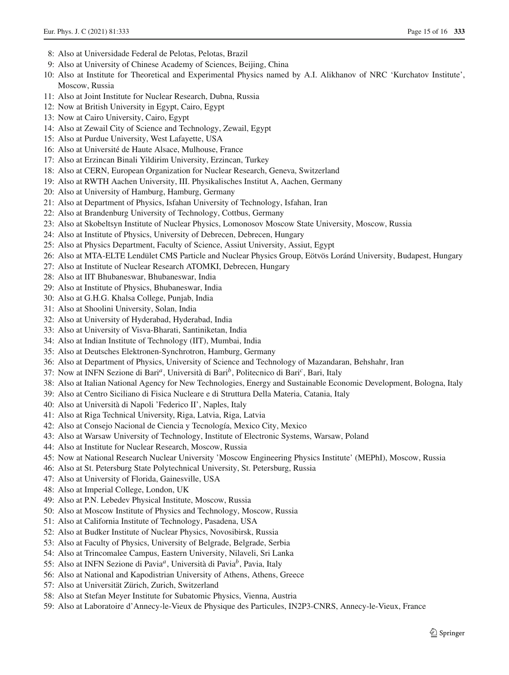- <span id="page-14-1"></span><span id="page-14-0"></span>8: Also at Universidade Federal de Pelotas, Pelotas, Brazil
- <span id="page-14-3"></span><span id="page-14-2"></span>9: Also at University of Chinese Academy of Sciences, Beijing, China
- 10: Also at Institute for Theoretical and Experimental Physics named by A.I. Alikhanov of NRC 'Kurchatov Institute', Moscow, Russia
- <span id="page-14-4"></span>11: Also at Joint Institute for Nuclear Research, Dubna, Russia
- <span id="page-14-5"></span>12: Now at British University in Egypt, Cairo, Egypt
- <span id="page-14-6"></span>13: Now at Cairo University, Cairo, Egypt
- <span id="page-14-7"></span>14: Also at Zewail City of Science and Technology, Zewail, Egypt
- <span id="page-14-8"></span>15: Also at Purdue University, West Lafayette, USA
- <span id="page-14-10"></span><span id="page-14-9"></span>16: Also at Université de Haute Alsace, Mulhouse, France
- 17: Also at Erzincan Binali Yildirim University, Erzincan, Turkey
- <span id="page-14-11"></span>18: Also at CERN, European Organization for Nuclear Research, Geneva, Switzerland
- <span id="page-14-14"></span><span id="page-14-13"></span><span id="page-14-12"></span>19: Also at RWTH Aachen University, III. Physikalisches Institut A, Aachen, Germany
- 20: Also at University of Hamburg, Hamburg, Germany
- 21: Also at Department of Physics, Isfahan University of Technology, Isfahan, Iran
- <span id="page-14-15"></span>22: Also at Brandenburg University of Technology, Cottbus, Germany
- <span id="page-14-16"></span>23: Also at Skobeltsyn Institute of Nuclear Physics, Lomonosov Moscow State University, Moscow, Russia
- <span id="page-14-17"></span>24: Also at Institute of Physics, University of Debrecen, Debrecen, Hungary
- <span id="page-14-18"></span>25: Also at Physics Department, Faculty of Science, Assiut University, Assiut, Egypt
- <span id="page-14-19"></span>26: Also at MTA-ELTE Lendület CMS Particle and Nuclear Physics Group, Eötvös Loránd University, Budapest, Hungary
- <span id="page-14-20"></span>27: Also at Institute of Nuclear Research ATOMKI, Debrecen, Hungary
- 28: Also at IIT Bhubaneswar, Bhubaneswar, India
- <span id="page-14-23"></span><span id="page-14-22"></span><span id="page-14-21"></span>29: Also at Institute of Physics, Bhubaneswar, India
- 30: Also at G.H.G. Khalsa College, Punjab, India
- <span id="page-14-25"></span><span id="page-14-24"></span>31: Also at Shoolini University, Solan, India
- 32: Also at University of Hyderabad, Hyderabad, India
- <span id="page-14-27"></span><span id="page-14-26"></span>33: Also at University of Visva-Bharati, Santiniketan, India
- 34: Also at Indian Institute of Technology (IIT), Mumbai, India
- 35: Also at Deutsches Elektronen-Synchrotron, Hamburg, Germany
- <span id="page-14-30"></span><span id="page-14-29"></span><span id="page-14-28"></span>36: Also at Department of Physics, University of Science and Technology of Mazandaran, Behshahr, Iran
- <span id="page-14-31"></span>37: Now at INFN Sezione di Bari*a*, Università di Bari*b*, Politecnico di Bari*c*, Bari, Italy
- 38: Also at Italian National Agency for New Technologies, Energy and Sustainable Economic Development, Bologna, Italy
- <span id="page-14-32"></span>39: Also at Centro Siciliano di Fisica Nucleare e di Struttura Della Materia, Catania, Italy
- <span id="page-14-33"></span>40: Also at Università di Napoli 'Federico II', Naples, Italy
- <span id="page-14-34"></span>41: Also at Riga Technical University, Riga, Latvia, Riga, Latvia
- <span id="page-14-35"></span>42: Also at Consejo Nacional de Ciencia y Tecnología, Mexico City, Mexico
- <span id="page-14-36"></span>43: Also at Warsaw University of Technology, Institute of Electronic Systems, Warsaw, Poland
- <span id="page-14-37"></span>44: Also at Institute for Nuclear Research, Moscow, Russia
- <span id="page-14-38"></span>45: Now at National Research Nuclear University 'Moscow Engineering Physics Institute' (MEPhI), Moscow, Russia
- <span id="page-14-39"></span>46: Also at St. Petersburg State Polytechnical University, St. Petersburg, Russia
- <span id="page-14-40"></span>47: Also at University of Florida, Gainesville, USA
- <span id="page-14-41"></span>48: Also at Imperial College, London, UK
- <span id="page-14-42"></span>49: Also at P.N. Lebedev Physical Institute, Moscow, Russia
- <span id="page-14-43"></span>50: Also at Moscow Institute of Physics and Technology, Moscow, Russia
- <span id="page-14-44"></span>51: Also at California Institute of Technology, Pasadena, USA
- <span id="page-14-45"></span>52: Also at Budker Institute of Nuclear Physics, Novosibirsk, Russia
- <span id="page-14-46"></span>53: Also at Faculty of Physics, University of Belgrade, Belgrade, Serbia
- 54: Also at Trincomalee Campus, Eastern University, Nilaveli, Sri Lanka
- <span id="page-14-49"></span><span id="page-14-48"></span><span id="page-14-47"></span>55: Also at INFN Sezione di Pavia*a*, Università di Pavia*b*, Pavia, Italy
- 56: Also at National and Kapodistrian University of Athens, Athens, Greece
- <span id="page-14-50"></span>57: Also at Universität Zürich, Zurich, Switzerland
- <span id="page-14-51"></span>58: Also at Stefan Meyer Institute for Subatomic Physics, Vienna, Austria
- 59: Also at Laboratoire d'Annecy-le-Vieux de Physique des Particules, IN2P3-CNRS, Annecy-le-Vieux, France